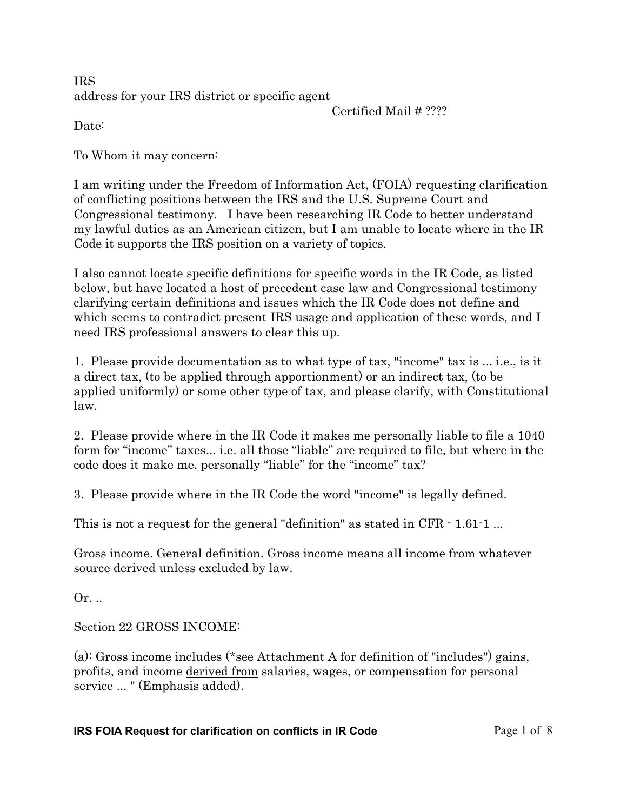IRS address for your IRS district or specific agent

Certified Mail # ????

Date:

To Whom it may concern:

I am writing under the Freedom of Information Act, (FOIA) requesting clarification of conflicting positions between the IRS and the U.S. Supreme Court and Congressional testimony. I have been researching IR Code to better understand my lawful duties as an American citizen, but I am unable to locate where in the IR Code it supports the IRS position on a variety of topics.

I also cannot locate specific definitions for specific words in the IR Code, as listed below, but have located a host of precedent case law and Congressional testimony clarifying certain definitions and issues which the IR Code does not define and which seems to contradict present IRS usage and application of these words, and I need IRS professional answers to clear this up.

1. Please provide documentation as to what type of tax, "income" tax is ... i.e., is it a direct tax, (to be applied through apportionment) or an indirect tax, (to be applied uniformly) or some other type of tax, and please clarify, with Constitutional law.

2. Please provide where in the IR Code it makes me personally liable to file a 1040 form for "income" taxes... i.e. all those "liable" are required to file, but where in the code does it make me, personally "liable" for the "income" tax?

3. Please provide where in the IR Code the word "income" is legally defined.

This is not a request for the general "definition" as stated in CFR  $\cdot$  1.61 $\cdot$ 1...

Gross income. General definition. Gross income means all income from whatever source *derived* unless excluded by law.

Or. ..

Section 22 GROSS INCOME:

(a): Gross income includes (\*see Attachment A for definition of "includes") gains, profits, and income derived from salaries, wages, or compensation for personal service ... " (Emphasis added).

### **IRS FOIA Request for clarification on conflicts in IR Code Page 1 of 8**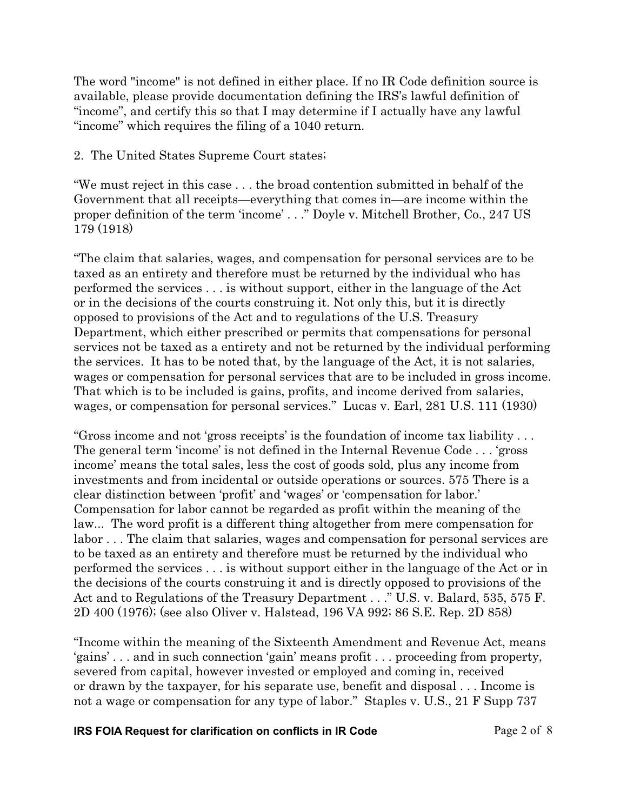The word "income" is not defined in either place. If no IR Code definition source is available, please provide documentation defining the IRS's lawful definition of "income", and certify this so that I may determine if I actually have any lawful "income" which requires the filing of a 1040 return.

2. The United States Supreme Court states;

"We must reject in this case . . . the broad contention submitted in behalf of the Government that all receipts—everything that comes in—are income within the proper definition of the term 'income' . . ." *Doyle v. Mitchell Brother, Co.,* 247 US 179 (1918)

"The claim that salaries, wages, and compensation for personal services are to be taxed as an entirety and therefore must be returned by the individual who has performed the services . . . is without support, either in the language of the Act or in the decisions of the courts construing it. Not only this, but it is directly opposed to provisions of the Act and to regulations of the U.S. Treasury Department, which either prescribed or permits that compensations for personal services not be taxed as a entirety and not be returned by the individual performing the services. It has to be noted that, by the language of the Act, it is not salaries, wages or compensation for personal services that are to be included in gross income. That which is to be included is gains, profits, and income derived from salaries, wages, or compensation for personal services." *Lucas v. Earl,* 281 U.S. 111 (1930)

"Gross income and not 'gross receipts' is the foundation of income tax liability . . . The general term 'income' is not defined in the Internal Revenue Code . . . 'gross income' means the total sales, less the cost of goods sold, plus any income from investments and from incidental or outside operations or sources. 575 There is a clear distinction between 'profit' and 'wages' or 'compensation for labor.' Compensation for labor cannot be regarded as profit within the meaning of the law... The word profit is a different thing altogether from mere compensation for labor . . . The claim that salaries, wages and compensation for personal services are to be taxed as an entirety and therefore must be returned by the individual who performed the services . . . is without support either in the language of the Act or in the decisions of the courts construing it and is directly opposed to provisions of the Act and to Regulations of the Treasury Department . . ." *U.S. v. Balard,* 535, 575 F. 2D 400 (1976); (see also *Oliver v. Halstead,* 196 VA 992; 86 S.E. Rep. 2D 858)

"Income within the meaning of the Sixteenth Amendment and Revenue Act, means 'gains' . . . and in such connection 'gain' means profit . . . proceeding from property, severed from capital, however invested or employed and coming in, received or drawn by the taxpayer, for his separate use, benefit and disposal . . . Income is not a wage or compensation for any type of labor." *Staples v. U.S.,* 21 F Supp 737

**IRS FOIA Request for clarification on conflicts in IR Code Page 2 of 8**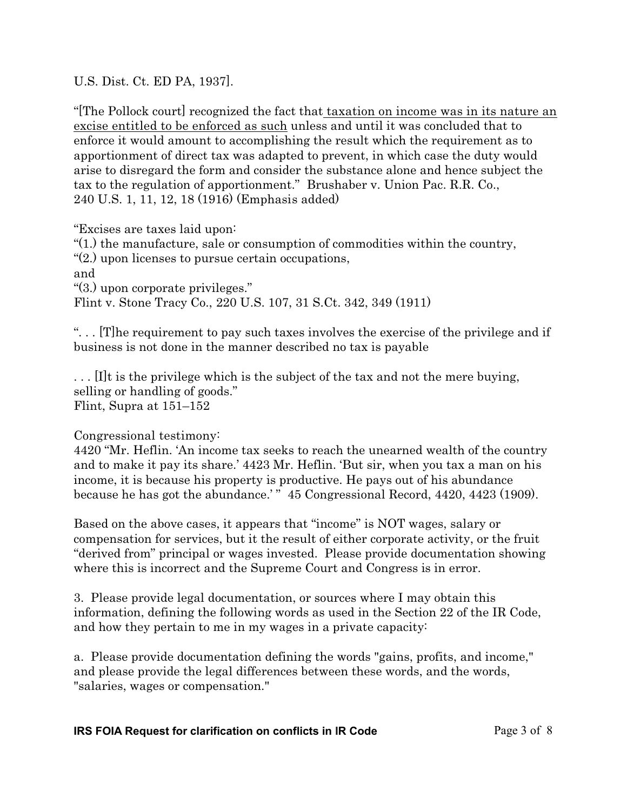U.S. Dist. Ct. ED PA, 1937].

"[The Pollock court] recognized the fact that taxation on income was in its nature an excise entitled to be enforced as such unless and until it was concluded that to enforce it would amount to accomplishing the result which the requirement as to apportionment of direct tax was adapted to prevent, in which case the duty would arise to disregard the form and consider the substance alone and hence subject the tax to the regulation of apportionment." *Brushaber v. Union Pac. R.R. Co.,* 240 U.S. 1, 11, 12, 18 (1916) (Emphasis added)

"Excises are taxes laid upon:

"(1.) the manufacture, sale or consumption of commodities within the country,

"(2.) upon licenses to pursue certain occupations,

and

"(3.) upon corporate privileges."

*Flint v. Stone Tracy Co.,* 220 U.S. 107, 31 S.Ct. 342, 349 (1911)

". . . [T]he requirement to pay such taxes involves the exercise of the privilege and if business is not done in the manner described no tax is payable

. . . [I]t is the privilege which is the subject of the tax and not the mere buying, selling or handling of goods." *Flint,* Supra at 151–152

# Congressional testimony:

4420 "Mr. Heflin. 'An income tax seeks to reach the unearned wealth of the country and to make it pay its share.' 4423 Mr. Heflin. 'But sir, when you tax a man on his income, it is because his property is productive. He pays out of his abundance because he has got the abundance.'" 45 Congressional Record, 4420, 4423 (1909).

Based on the above cases, it appears that "income" is NOT wages, salary or compensation for services, but it the result of either corporate activity, or the fruit "derived from" principal or wages invested. Please provide documentation showing where this is incorrect and the Supreme Court and Congress is in error.

3. Please provide legal documentation, or sources where I may obtain this information, defining the following words as used in the Section 22 of the IR Code, and how they pertain to me in my wages in a private capacity:

a. Please provide documentation defining the words "gains, profits, and income," and please provide the legal differences between these words, and the words, "salaries, wages or compensation."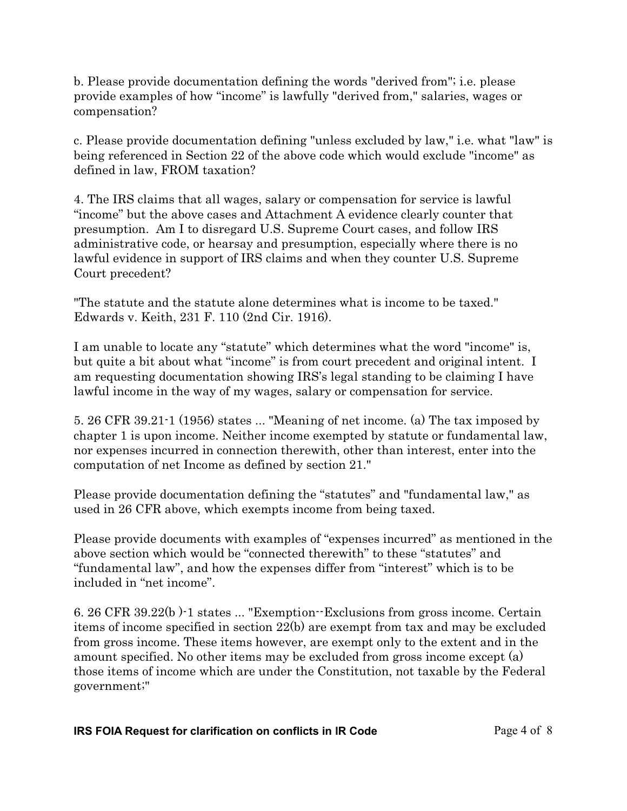b. Please provide documentation defining the words "derived from"; i.e. please provide examples of how "income" is lawfully "derived from," salaries, wages or compensation?

c. Please provide documentation defining "unless excluded by law," i.e. what "law" is being referenced in Section 22 of the above code which would exclude "income" as defined in law, FROM taxation?

4. The IRS claims that all wages, salary or compensation for service is lawful "income" but the above cases and Attachment A evidence clearly counter that presumption. Am I to disregard U.S. Supreme Court cases, and follow IRS administrative code, or hearsay and presumption, especially where there is no lawful evidence in support of IRS claims and when they counter U.S. Supreme Court precedent?

"The statute and the statute alone determines what is income to be taxed." Edwards v. Keith, 231 F. 110 (2nd Cir. 1916).

I am unable to locate any "statute" which determines what the word "income" is, but quite a bit about what "income" is from court precedent and original intent. I am requesting documentation showing IRS's legal standing to be claiming I have lawful income in the way of my wages, salary or compensation for service.

5. 26 CFR 39.21-1 (1956) states ... "Meaning of net income. (a) The tax imposed by chapter 1 is upon income. Neither income exempted by statute or fundamental law, nor expenses incurred in connection therewith, other than interest, enter into the computation of net Income as defined by section 21."

Please provide documentation defining the "statutes" and "fundamental law," as used in 26 CFR above, which exempts income from being taxed.

Please provide documents with examples of "expenses incurred" as mentioned in the above section which would be "connected therewith" to these "statutes" and "fundamental law", and how the expenses differ from "interest" which is to be included in "net income".

6. 26 CFR 39.22(b )-1 states ... "Exemption--Exclusions from gross income. Certain items of income specified in section 22(b) are exempt from tax and may be excluded from gross income. These items however, are exempt only to the extent and in the amount specified. No other items may be excluded from gross income except (a) those items of income which are under the Constitution, not taxable by the Federal government;"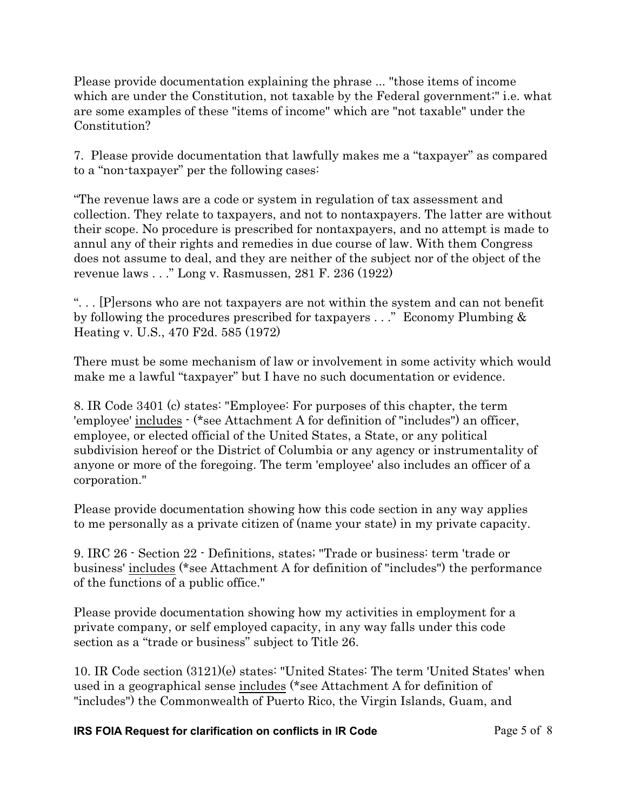Please provide documentation explaining the phrase ... "those items of income which are under the Constitution, not taxable by the Federal government;" i.e. what are some examples of these "items of income" which are "not taxable" under the Constitution?

7. Please provide documentation that lawfully makes me a "taxpayer" as compared to a "non-taxpayer" per the following cases:

"The revenue laws are a code or system in regulation of tax assessment and collection. They relate to taxpayers, and not to nontaxpayers. The latter are without their scope. No procedure is prescribed for nontaxpayers, and no attempt is made to annul any of their rights and remedies in due course of law. With them Congress does not assume to deal, and they are neither of the subject nor of the object of the revenue laws . . ." *Long v. Rasmussen,* 281 F. 236 (1922)

". . . [P]ersons who are not taxpayers are not within the system and can not benefit by following the procedures prescribed for taxpayers . . ." *Economy Plumbing & Heating v. U.S.,* 470 F2d. 585 (1972)

There must be some mechanism of law or involvement in some activity which would make me a lawful "taxpayer" but I have no such documentation or evidence.

8. IR Code 3401 (c) states: "Employee: For purposes of this chapter, the term 'employee' includes - (\*see Attachment A for definition of "includes") an officer, employee, or elected official of the United States, a State, or any political subdivision hereof or the District of Columbia or any agency or instrumentality of anyone or more of the foregoing. The term 'employee' also includes an officer of a corporation."

Please provide documentation showing how this code section in any way applies to me personally as a private citizen of (name your state) in my private capacity.

9. IRC 26 - Section 22 - Definitions, states; "Trade or business: term 'trade or business' includes (\*see Attachment A for definition of "includes") the performance of the functions of a public office."

Please provide documentation showing how my activities in employment for a private company, or self employed capacity, in any way falls under this code section as a "trade or business" subject to Title 26.

10. IR Code section (3121)(e) states: "United States: The term 'United States' when used in a geographical sense includes (\*see Attachment A for definition of "includes") the Commonwealth of Puerto Rico, the Virgin Islands, Guam, and

### **IRS FOIA Request for clarification on conflicts in IR Code Page 5 of 8**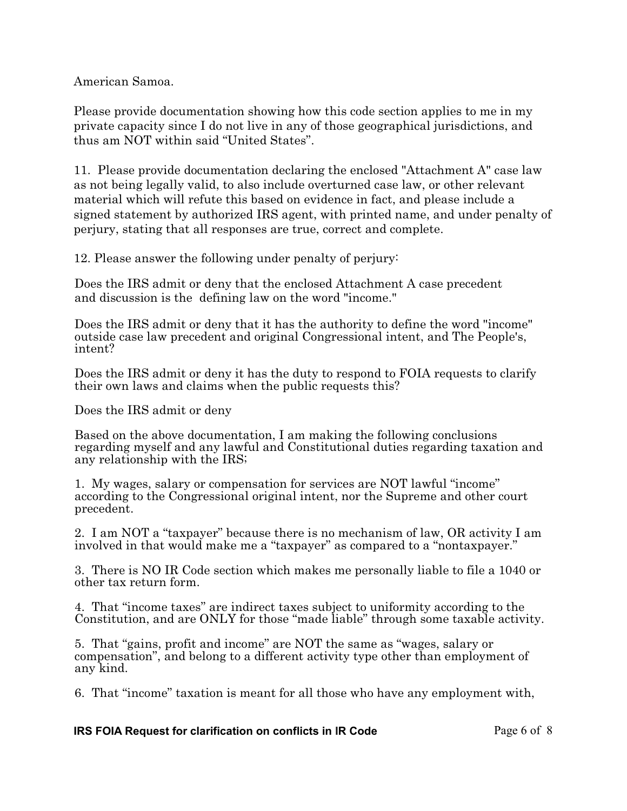American Samoa.

Please provide documentation showing how this code section applies to me in my private capacity since I do not live in any of those geographical jurisdictions, and thus am NOT within said "United States".

11. Please provide documentation declaring the enclosed "Attachment A" case law as not being legally valid, to also include overturned case law, or other relevant material which will refute this based on evidence in fact, and please include a signed statement by authorized IRS agent, with printed name, and under penalty of perjury, stating that all responses are true, correct and complete.

12. Please answer the following under penalty of perjury:

Does the IRS admit or deny that the enclosed Attachment A case precedent and discussion is the defining law on the word "income."

Does the IRS admit or deny that it has the authority to define the word "income" outside case law precedent and original Congressional intent, and The People's, intent?

Does the IRS admit or deny it has the duty to respond to FOIA requests to clarify their own laws and claims when the public requests this?

Does the IRS admit or deny

Based on the above documentation, I am making the following conclusions regarding myself and any lawful and Constitutional duties regarding taxation and any relationship with the IRS;

1. My wages, salary or compensation for services are NOT lawful "income" according to the Congressional original intent, nor the Supreme and other court precedent.

2. I am NOT a "taxpayer" because there is no mechanism of law, OR activity I am involved in that would make me a "taxpayer" as compared to a "nontaxpayer."

3. There is NO IR Code section which makes me personally liable to file a 1040 or other tax return form.

4. That "income taxes" are indirect taxes subject to uniformity according to the Constitution, and are ONLY for those "made liable" through some taxable activity.

5. That "gains, profit and income" are NOT the same as "wages, salary or compensation", and belong to a different activity type other than employment of any kind.

6. That "income" taxation is meant for all those who have any employment with,

#### **IRS FOIA Request for clarification on conflicts in IR Code Page 6 of 8**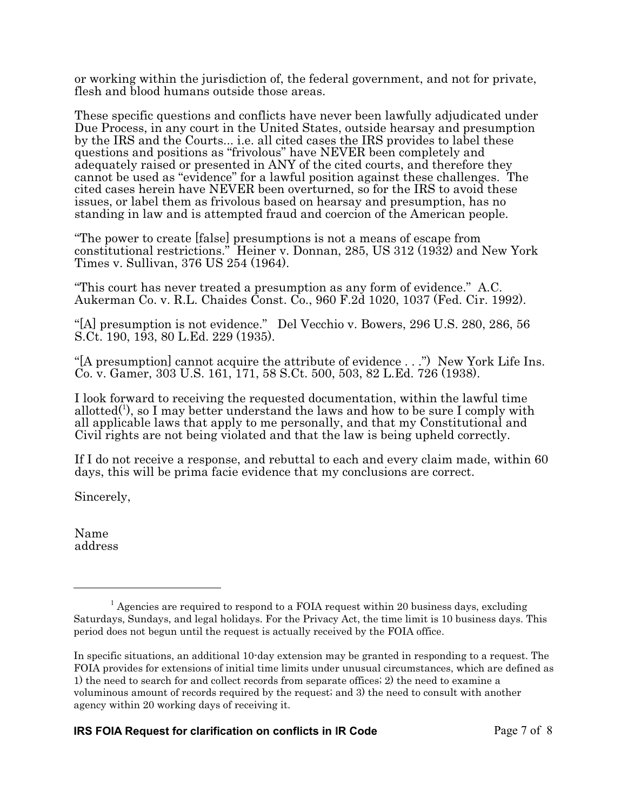or working within the jurisdiction of, the federal government, and not for private, flesh and blood humans outside those areas.

These specific questions and conflicts have never been lawfully adjudicated under Due Process, in any court in the United States, outside hearsay and presumption by the IRS and the Courts... i.e. all cited cases the IRS provides to label these questions and positions as "frivolous" have NEVER been completely and adequately raised or presented in ANY of the cited courts, and therefore they cannot be used as "evidence" for a lawful position against these challenges. The cited cases herein have NEVER been overturned, so for the IRS to avoid these issues, or label them as frivolous based on hearsay and presumption, has no standing in law and is attempted fraud and coercion of the American people.

"The power to create [false] presumptions is not a means of escape from constitutional restrictions." *Heiner v. Donnan,* 285, US 312 (1932) and *New York Times v. Sullivan,* 376 US 254 (1964).

"This court has never treated a presumption as any form of evidence." *A.C. Aukerman Co. v. R.L. Chaides Const. Co.,* 960 F.2d 1020, 1037 (Fed. Cir. 1992).

"[A] presumption is not evidence." *Del Vecchio v. Bowers,* 296 U.S. 280, 286, 56 S.Ct. 190, 193, 80 L.Ed. 229 (1935).

"[A presumption] cannot acquire the attribute of evidence . . .") *New York Life Ins. Co. v. Gamer,* 303 U.S. 161, 171, 58 S.Ct. 500, 503, 82 L.Ed. 726 (1938).

I look forward to receiving the requested documentation, within the lawful time allotted<sup>(1</sup>), so I may better understand the laws and how to be sure I comply with all applicable laws that apply to me personally, and that my Constitutional and Civil rights are not being violated and that the law is being upheld correctly.

If I do not receive a response, and rebuttal to each and every claim made, within 60 days, this will be prima facie evidence that my conclusions are correct.

Sincerely,

Name address

<sup>&</sup>lt;sup>1</sup> Agencies are required to respond to a FOIA request within 20 business days, excluding Saturdays, Sundays, and legal holidays. For the Privacy Act, the time limit is 10 business days. This period does not begun until the request is actually received by the FOIA office.

In specific situations, an additional 10-day extension may be granted in responding to a request. The FOIA provides for extensions of initial time limits under unusual circumstances, which are defined as 1) the need to search for and collect records from separate offices; 2) the need to examine a voluminous amount of records required by the request; and 3) the need to consult with another agency within 20 working days of receiving it.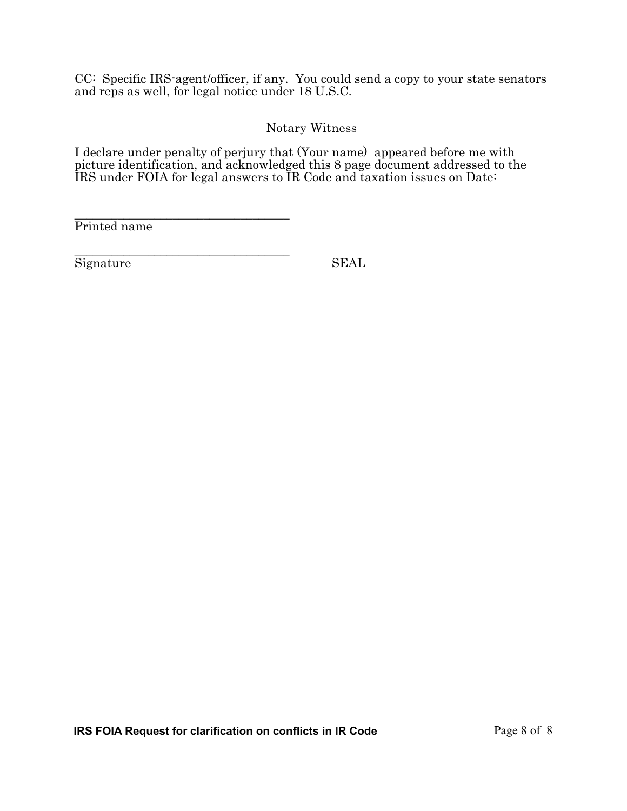CC: Specific IRS-agent/officer, if any. You could send a copy to your state senators and reps as well, for legal notice under 18 U.S.C.

## Notary Witness

I declare under penalty of perjury that (Your name) appeared before me with picture identification, and acknowledged this 8 page document addressed to the IRS under FOIA for legal answers to IR Code and taxation issues on Date:

\_\_\_\_\_\_\_\_\_\_\_\_\_\_\_\_\_\_\_\_\_\_\_\_\_\_\_\_\_\_\_\_\_\_\_ Printed name

\_\_\_\_\_\_\_\_\_\_\_\_\_\_\_\_\_\_\_\_\_\_\_\_\_\_\_\_\_\_\_\_\_\_\_ Signature SEAL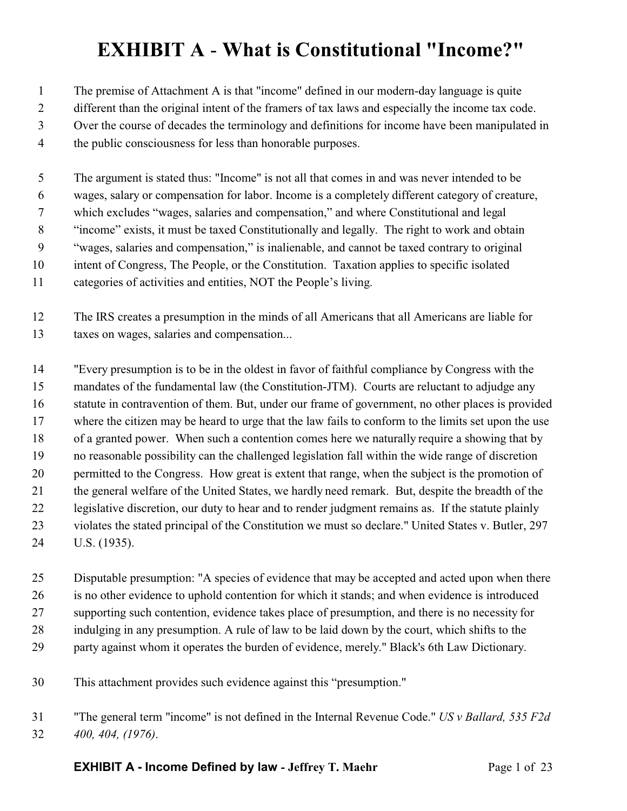# **EXHIBIT A** - **What is Constitutional "Income?"**

The premise of Attachment A is that "income" defined in our modern-day language is quite

- different than the original intent of the framers of tax laws and especially the income tax code.
- Over the course of decades the terminology and definitions for income have been manipulated in
- the public consciousness for less than honorable purposes.

 The argument is stated thus: "Income" is not all that comes in and was never intended to be wages, salary or compensation for labor. Income is a completely different category of creature,

which excludes "wages, salaries and compensation," and where Constitutional and legal

"income" exists, it must be taxed Constitutionally and legally. The right to work and obtain

"wages, salaries and compensation," is inalienable, and cannot be taxed contrary to original

- intent of Congress, The People, or the Constitution. Taxation applies to specific isolated
- categories of activities and entities, NOT the People's living.

 The IRS creates a presumption in the minds of all Americans that all Americans are liable for taxes on wages, salaries and compensation...

 "Every presumption is to be in the oldest in favor of faithful compliance by Congress with the mandates of the fundamental law (the Constitution-JTM). Courts are reluctant to adjudge any statute in contravention of them. But, under our frame of government, no other places is provided where the citizen may be heard to urge that the law fails to conform to the limits set upon the use of a granted power. When such a contention comes here we naturally require a showing that by no reasonable possibility can the challenged legislation fall within the wide range of discretion permitted to the Congress. How great is extent that range, when the subject is the promotion of the general welfare of the United States, we hardly need remark. But, despite the breadth of the legislative discretion, our duty to hear and to render judgment remains as. If the statute plainly violates the stated principal of the Constitution we must so declare." United States v. Butler, 297 U.S. (1935).

 Disputable presumption: "A species of evidence that may be accepted and acted upon when there is no other evidence to uphold contention for which it stands; and when evidence is introduced supporting such contention, evidence takes place of presumption, and there is no necessity for indulging in any presumption. A rule of law to be laid down by the court, which shifts to the party against whom it operates the burden of evidence, merely." Black's 6th Law Dictionary.

- This attachment provides such evidence against this "presumption."
- "The general term "income" is not defined in the Internal Revenue Code." *US v Ballard, 535 F2d 400, 404, (1976)*.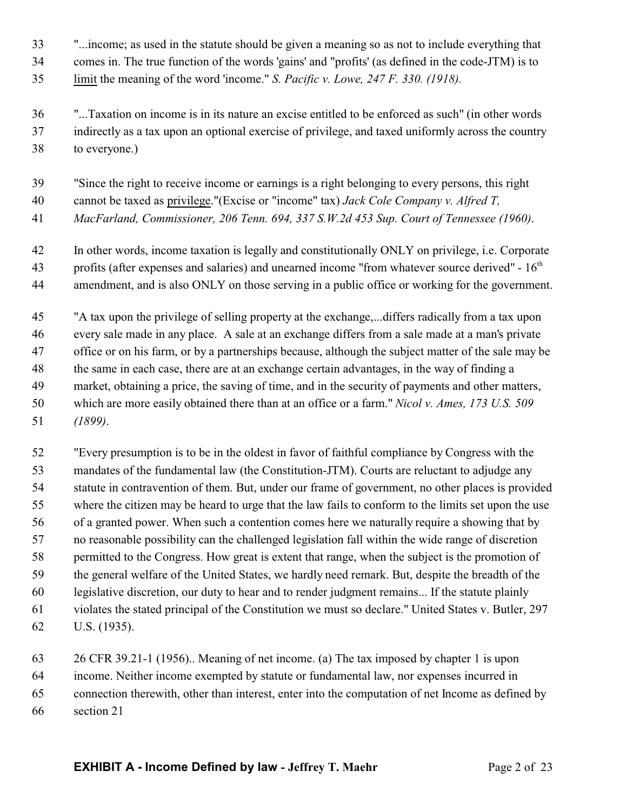- "...income; as used in the statute should be given a meaning so as not to include everything that
- comes in. The true function of the words 'gains' and "profits' (as defined in the code-JTM) is to
- limit the meaning of the word 'income." *S. Pacific v. Lowe, 247 F. 330. (1918).*
- "...Taxation on income is in its nature an excise entitled to be enforced as such" (in other words indirectly as a tax upon an optional exercise of privilege, and taxed uniformly across the country to everyone.)
- "Since the right to receive income or earnings is a right belonging to every persons, this right
- cannot be taxed as privilege."(Excise or "income" tax) *Jack Cole Company v. Alfred T,*
- *MacFarland, Commissioner, 206 Tenn. 694, 337 S.W.2d 453 Sup. Court of Tennessee (1960)*.
- In other words, income taxation is legally and constitutionally ONLY on privilege, i.e. Corporate 43 profits (after expenses and salaries) and unearned income "from whatever source derived" -  $16<sup>th</sup>$ amendment, and is also ONLY on those serving in a public office or working for the government.
- "A tax upon the privilege of selling property at the exchange,...differs radically from a tax upon every sale made in any place. A sale at an exchange differs from a sale made at a man's private office or on his farm, or by a partnerships because, although the subject matter of the sale may be 48 the same in each case, there are at an exchange certain advantages, in the way of finding a market, obtaining a price, the saving of time, and in the security of payments and other matters, which are more easily obtained there than at an office or a farm." *Nicol v. Ames, 173 U.S. 509 (1899)*.
- "Every presumption is to be in the oldest in favor of faithful compliance by Congress with the mandates of the fundamental law (the Constitution-JTM). Courts are reluctant to adjudge any statute in contravention of them. But, under our frame of government, no other places is provided where the citizen may be heard to urge that the law fails to conform to the limits set upon the use of a granted power. When such a contention comes here we naturally require a showing that by no reasonable possibility can the challenged legislation fall within the wide range of discretion permitted to the Congress. How great is extent that range, when the subject is the promotion of the general welfare of the United States, we hardly need remark. But, despite the breadth of the legislative discretion, our duty to hear and to render judgment remains... If the statute plainly violates the stated principal of the Constitution we must so declare." United States v. Butler, 297 U.S. (1935).
- 26 CFR 39.21-1 (1956).. Meaning of net income. (a) The tax imposed by chapter 1 is upon income. Neither income exempted by statute or fundamental law, nor expenses incurred in connection therewith, other than interest, enter into the computation of net Income as defined by section 21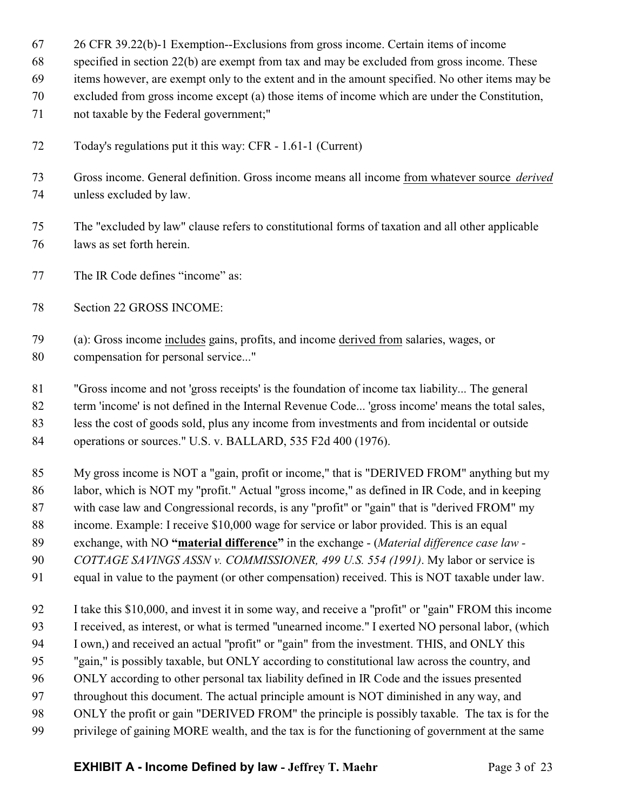26 CFR 39.22(b)-1 Exemption--Exclusions from gross income. Certain items of income

specified in section 22(b) are exempt from tax and may be excluded from gross income. These

items however, are exempt only to the extent and in the amount specified. No other items may be

- excluded from gross income except (a) those items of income which are under the Constitution,
- not taxable by the Federal government;"
- Today's regulations put it this way: CFR 1.61-1 (Current)
- Gross income. General definition. Gross income means all income from whatever source *derived* unless excluded by law.
- The "excluded by law" clause refers to constitutional forms of taxation and all other applicable laws as set forth herein.
- The IR Code defines "income" as:
- Section 22 GROSS INCOME:
- (a): Gross income includes gains, profits, and income derived from salaries, wages, or compensation for personal service..."
- "Gross income and not 'gross receipts' is the foundation of income tax liability... The general term 'income' is not defined in the Internal Revenue Code... 'gross income' means the total sales, less the cost of goods sold, plus any income from investments and from incidental or outside operations or sources." U.S. v. BALLARD, 535 F2d 400 (1976).
- My gross income is NOT a "gain, profit or income," that is "DERIVED FROM" anything but my labor, which is NOT my "profit." Actual "gross income," as defined in IR Code, and in keeping with case law and Congressional records, is any "profit" or "gain" that is "derived FROM" my income. Example: I receive \$10,000 wage for service or labor provided. This is an equal exchange, with NO **"material difference"** in the exchange - (*Material difference case law - COTTAGE SAVINGS ASSN v. COMMISSIONER, 499 U.S. 554 (1991)*. My labor or service is equal in value to the payment (or other compensation) received. This is NOT taxable under law.
- I take this \$10,000, and invest it in some way, and receive a "profit" or "gain" FROM this income I received, as interest, or what is termed "unearned income." I exerted NO personal labor, (which I own,) and received an actual "profit" or "gain" from the investment. THIS, and ONLY this "gain," is possibly taxable, but ONLY according to constitutional law across the country, and ONLY according to other personal tax liability defined in IR Code and the issues presented throughout this document. The actual principle amount is NOT diminished in any way, and ONLY the profit or gain "DERIVED FROM" the principle is possibly taxable. The tax is for the privilege of gaining MORE wealth, and the tax is for the functioning of government at the same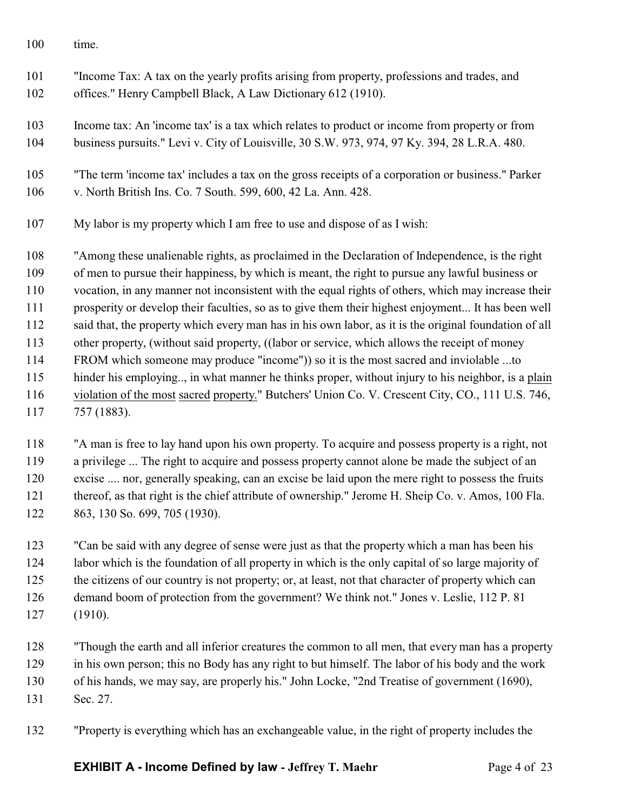- time.
- "Income Tax: A tax on the yearly profits arising from property, professions and trades, and offices." Henry Campbell Black, A Law Dictionary 612 (1910).
- Income tax: An 'income tax' is a tax which relates to product or income from property or from business pursuits." Levi v. City of Louisville, 30 S.W. 973, 974, 97 Ky. 394, 28 L.R.A. 480.
- "The term 'income tax' includes a tax on the gross receipts of a corporation or business." Parker v. North British Ins. Co. 7 South. 599, 600, 42 La. Ann. 428.
- My labor is my property which I am free to use and dispose of as I wish:

 "Among these unalienable rights, as proclaimed in the Declaration of Independence, is the right of men to pursue their happiness, by which is meant, the right to pursue any lawful business or vocation, in any manner not inconsistent with the equal rights of others, which may increase their prosperity or develop their faculties, so as to give them their highest enjoyment... It has been well said that, the property which every man has in his own labor, as it is the original foundation of all other property, (without said property, ((labor or service, which allows the receipt of money FROM which someone may produce "income")) so it is the most sacred and inviolable ...to hinder his employing.., in what manner he thinks proper, without injury to his neighbor, is a plain violation of the most sacred property." Butchers' Union Co. V. Crescent City, CO., 111 U.S. 746, 757 (1883).

 "A man is free to lay hand upon his own property. To acquire and possess property is a right, not a privilege ... The right to acquire and possess property cannot alone be made the subject of an excise .... nor, generally speaking, can an excise be laid upon the mere right to possess the fruits thereof, as that right is the chief attribute of ownership." Jerome H. Sheip Co. v. Amos, 100 Fla. 863, 130 So. 699, 705 (1930).

 "Can be said with any degree of sense were just as that the property which a man has been his labor which is the foundation of all property in which is the only capital of so large majority of the citizens of our country is not property; or, at least, not that character of property which can demand boom of protection from the government? We think not." Jones v. Leslie, 112 P. 81 (1910).

 "Though the earth and all inferior creatures the common to all men, that every man has a property in his own person; this no Body has any right to but himself. The labor of his body and the work of his hands, we may say, are properly his." John Locke, "2nd Treatise of government (1690), Sec. 27.

"Property is everything which has an exchangeable value, in the right of property includes the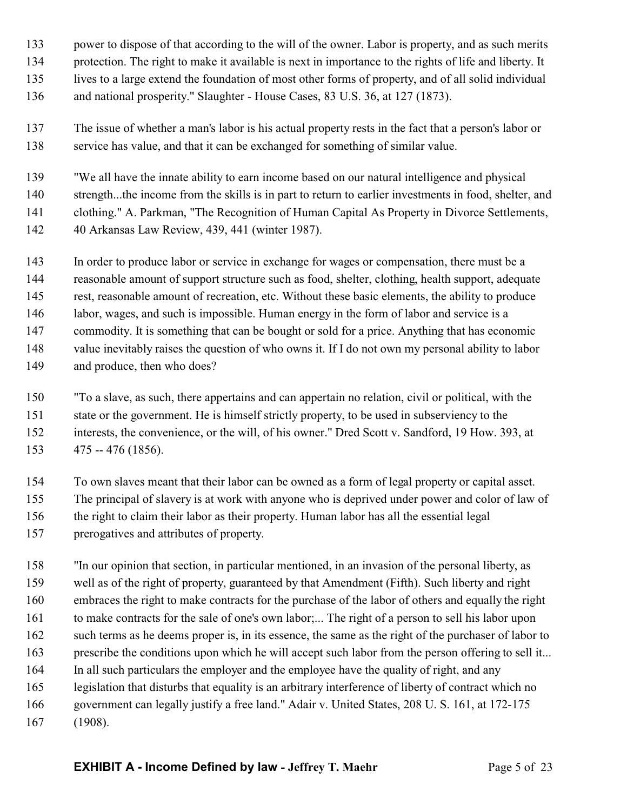- power to dispose of that according to the will of the owner. Labor is property, and as such merits
- protection. The right to make it available is next in importance to the rights of life and liberty. It
- lives to a large extend the foundation of most other forms of property, and of all solid individual
- and national prosperity." Slaughter House Cases, 83 U.S. 36, at 127 (1873).
- The issue of whether a man's labor is his actual property rests in the fact that a person's labor or service has value, and that it can be exchanged for something of similar value.
- "We all have the innate ability to earn income based on our natural intelligence and physical
- strength...the income from the skills is in part to return to earlier investments in food, shelter, and
- clothing." A. Parkman, "The Recognition of Human Capital As Property in Divorce Settlements,
- 40 Arkansas Law Review, 439, 441 (winter 1987).
- In order to produce labor or service in exchange for wages or compensation, there must be a
- reasonable amount of support structure such as food, shelter, clothing, health support, adequate
- rest, reasonable amount of recreation, etc. Without these basic elements, the ability to produce
- labor, wages, and such is impossible. Human energy in the form of labor and service is a
- commodity. It is something that can be bought or sold for a price. Anything that has economic
- value inevitably raises the question of who owns it. If I do not own my personal ability to labor
- and produce, then who does?
- "To a slave, as such, there appertains and can appertain no relation, civil or political, with the state or the government. He is himself strictly property, to be used in subserviency to the interests, the convenience, or the will, of his owner." Dred Scott v. Sandford, 19 How. 393, at 475 -- 476 (1856).
- To own slaves meant that their labor can be owned as a form of legal property or capital asset. The principal of slavery is at work with anyone who is deprived under power and color of law of the right to claim their labor as their property. Human labor has all the essential legal prerogatives and attributes of property.
- "In our opinion that section, in particular mentioned, in an invasion of the personal liberty, as well as of the right of property, guaranteed by that Amendment (Fifth). Such liberty and right embraces the right to make contracts for the purchase of the labor of others and equally the right to make contracts for the sale of one's own labor;... The right of a person to sell his labor upon such terms as he deems proper is, in its essence, the same as the right of the purchaser of labor to prescribe the conditions upon which he will accept such labor from the person offering to sell it... In all such particulars the employer and the employee have the quality of right, and any legislation that disturbs that equality is an arbitrary interference of liberty of contract which no government can legally justify a free land." Adair v. United States, 208 U. S. 161, at 172-175 (1908).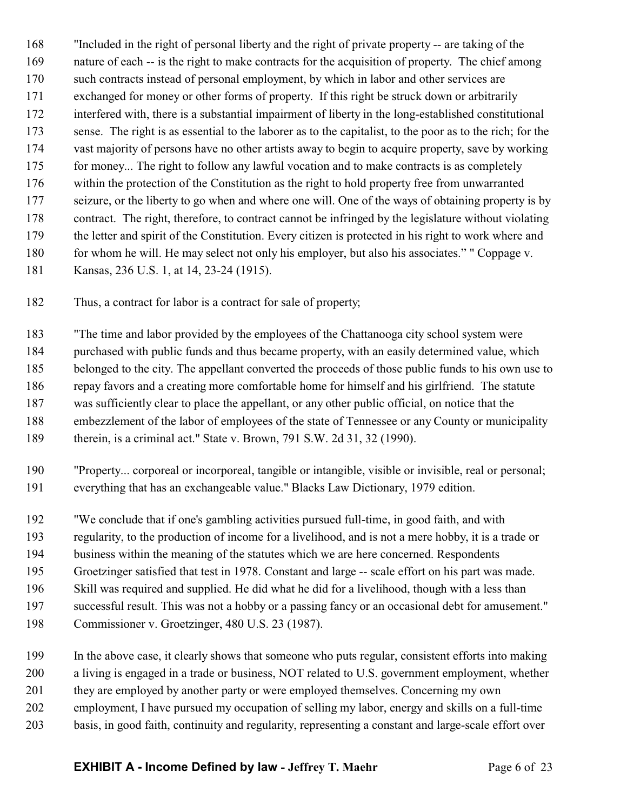"Included in the right of personal liberty and the right of private property -- are taking of the nature of each -- is the right to make contracts for the acquisition of property. The chief among such contracts instead of personal employment, by which in labor and other services are exchanged for money or other forms of property. If this right be struck down or arbitrarily interfered with, there is a substantial impairment of liberty in the long-established constitutional sense. The right is as essential to the laborer as to the capitalist, to the poor as to the rich; for the vast majority of persons have no other artists away to begin to acquire property, save by working 175 for money... The right to follow any lawful vocation and to make contracts is as completely within the protection of the Constitution as the right to hold property free from unwarranted seizure, or the liberty to go when and where one will. One of the ways of obtaining property is by contract. The right, therefore, to contract cannot be infringed by the legislature without violating the letter and spirit of the Constitution. Every citizen is protected in his right to work where and 180 for whom he will. He may select not only his employer, but also his associates." " Coppage v. Kansas, 236 U.S. 1, at 14, 23-24 (1915).

Thus, a contract for labor is a contract for sale of property;

"The time and labor provided by the employees of the Chattanooga city school system were

purchased with public funds and thus became property, with an easily determined value, which

belonged to the city. The appellant converted the proceeds of those public funds to his own use to

 repay favors and a creating more comfortable home for himself and his girlfriend. The statute was sufficiently clear to place the appellant, or any other public official, on notice that the

embezzlement of the labor of employees of the state of Tennessee or any County or municipality

189 therein, is a criminal act." State v. Brown, 791 S.W. 2d 31, 32 (1990).

 "Property... corporeal or incorporeal, tangible or intangible, visible or invisible, real or personal; everything that has an exchangeable value." Blacks Law Dictionary, 1979 edition.

"We conclude that if one's gambling activities pursued full-time, in good faith, and with

regularity, to the production of income for a livelihood, and is not a mere hobby, it is a trade or

business within the meaning of the statutes which we are here concerned. Respondents

Groetzinger satisfied that test in 1978. Constant and large -- scale effort on his part was made.

Skill was required and supplied. He did what he did for a livelihood, though with a less than

successful result. This was not a hobby or a passing fancy or an occasional debt for amusement."

Commissioner v. Groetzinger, 480 U.S. 23 (1987).

In the above case, it clearly shows that someone who puts regular, consistent efforts into making

a living is engaged in a trade or business, NOT related to U.S. government employment, whether

they are employed by another party or were employed themselves. Concerning my own

employment, I have pursued my occupation of selling my labor, energy and skills on a full-time

basis, in good faith, continuity and regularity, representing a constant and large-scale effort over

**EXHIBIT A - Income Defined by law - Jeffrey T. Maehr** Page 6 of 23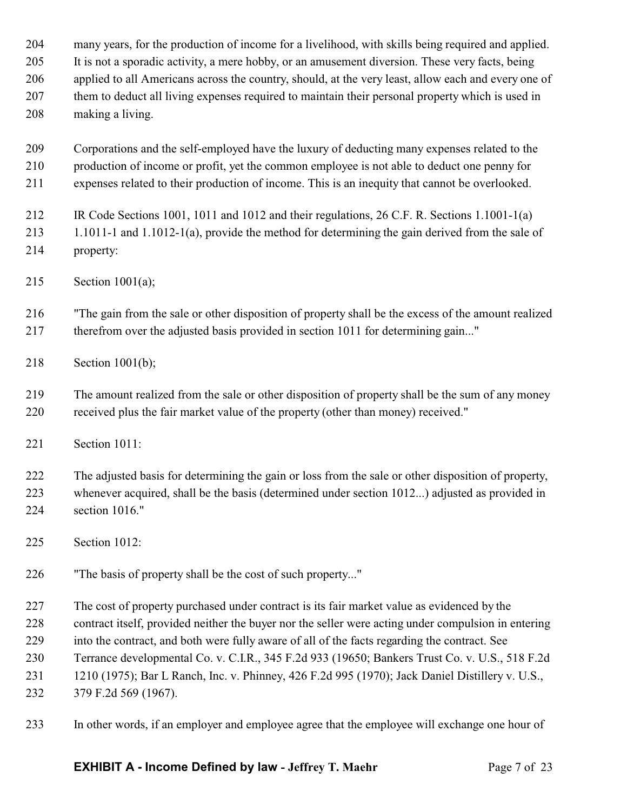| 204 | many years, for the production of income for a livelihood, with skills being required and applied.   |
|-----|------------------------------------------------------------------------------------------------------|
| 205 | It is not a sporadic activity, a mere hobby, or an amusement diversion. These very facts, being      |
| 206 | applied to all Americans across the country, should, at the very least, allow each and every one of  |
| 207 | them to deduct all living expenses required to maintain their personal property which is used in     |
| 208 | making a living.                                                                                     |
| 209 | Corporations and the self-employed have the luxury of deducting many expenses related to the         |
| 210 | production of income or profit, yet the common employee is not able to deduct one penny for          |
| 211 | expenses related to their production of income. This is an inequity that cannot be overlooked.       |
| 212 | IR Code Sections 1001, 1011 and 1012 and their regulations, 26 C.F. R. Sections 1.1001-1(a)          |
| 213 | $1.1011$ -1 and $1.1012$ -1(a), provide the method for determining the gain derived from the sale of |
| 214 | property:                                                                                            |
| 215 | Section $1001(a)$ ;                                                                                  |
| 216 | "The gain from the sale or other disposition of property shall be the excess of the amount realized  |
| 217 | therefrom over the adjusted basis provided in section 1011 for determining gain"                     |
| 218 | Section 1001(b);                                                                                     |
| 219 | The amount realized from the sale or other disposition of property shall be the sum of any money     |
| 220 | received plus the fair market value of the property (other than money) received."                    |
| 221 | Section 1011:                                                                                        |
| 222 | The adjusted basis for determining the gain or loss from the sale or other disposition of property,  |
| 223 | whenever acquired, shall be the basis (determined under section 1012) adjusted as provided in        |
| 224 | section 1016."                                                                                       |
| 225 | Section 1012:                                                                                        |
| 226 | "The basis of property shall be the cost of such property"                                           |
| 227 | The cost of property purchased under contract is its fair market value as evidenced by the           |
| 228 | contract itself, provided neither the buyer nor the seller were acting under compulsion in entering  |
| 229 | into the contract, and both were fully aware of all of the facts regarding the contract. See         |
| 230 | Terrance developmental Co. v. C.I.R., 345 F.2d 933 (19650; Bankers Trust Co. v. U.S., 518 F.2d       |
| 231 | 1210 (1975); Bar L Ranch, Inc. v. Phinney, 426 F.2d 995 (1970); Jack Daniel Distillery v. U.S.,      |
| 232 | 379 F.2d 569 (1967).                                                                                 |
| 233 | In other words, if an employer and employee agree that the employee will exchange one hour of        |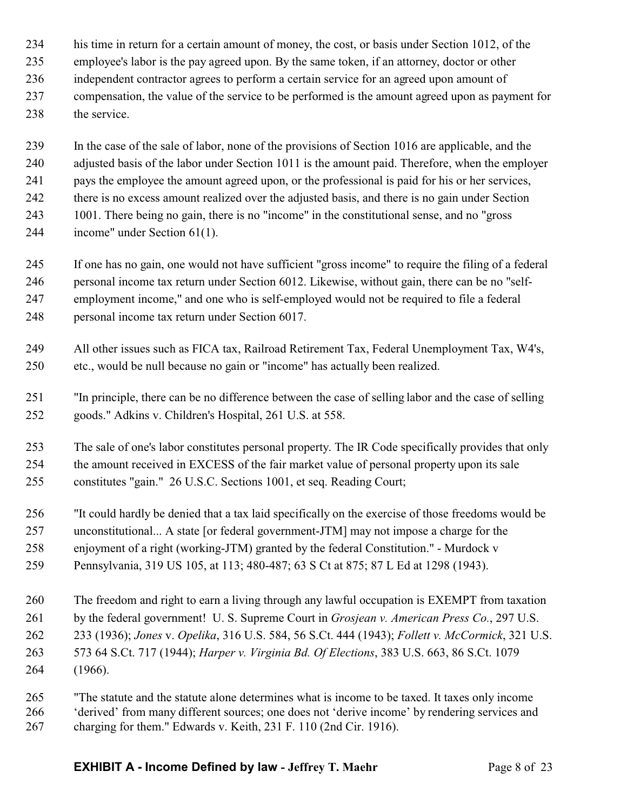- his time in return for a certain amount of money, the cost, or basis under Section 1012, of the
- employee's labor is the pay agreed upon. By the same token, if an attorney, doctor or other
- independent contractor agrees to perform a certain service for an agreed upon amount of
- compensation, the value of the service to be performed is the amount agreed upon as payment for 238 the service.
- In the case of the sale of labor, none of the provisions of Section 1016 are applicable, and the adjusted basis of the labor under Section 1011 is the amount paid. Therefore, when the employer pays the employee the amount agreed upon, or the professional is paid for his or her services, there is no excess amount realized over the adjusted basis, and there is no gain under Section 1001. There being no gain, there is no "income" in the constitutional sense, and no "gross income" under Section 61(1).
- If one has no gain, one would not have sufficient "gross income" to require the filing of a federal personal income tax return under Section 6012. Likewise, without gain, there can be no "self- employment income," and one who is self-employed would not be required to file a federal personal income tax return under Section 6017.
- All other issues such as FICA tax, Railroad Retirement Tax, Federal Unemployment Tax, W4's, etc., would be null because no gain or "income" has actually been realized.
- "In principle, there can be no difference between the case of selling labor and the case of selling goods." Adkins v. Children's Hospital, 261 U.S. at 558.
- The sale of one's labor constitutes personal property. The IR Code specifically provides that only the amount received in EXCESS of the fair market value of personal property upon its sale constitutes "gain." 26 U.S.C. Sections 1001, et seq. Reading Court;
- "It could hardly be denied that a tax laid specifically on the exercise of those freedoms would be unconstitutional... A state [or federal government-JTM] may not impose a charge for the enjoyment of a right (working-JTM) granted by the federal Constitution." - Murdock v Pennsylvania, 319 US 105, at 113; 480-487; 63 S Ct at 875; 87 L Ed at 1298 (1943).
- The freedom and right to earn a living through any lawful occupation is EXEMPT from taxation by the federal government! U. S. Supreme Court in *Grosjean v. American Press Co.*, 297 U.S. 233 (1936); *Jones* v. *Opelika*, 316 U.S. 584, 56 S.Ct. 444 (1943); *Follett v. McCormick*, 321 U.S. 573 64 S.Ct. 717 (1944); *Harper v. Virginia Bd. Of Elections*, 383 U.S. 663, 86 S.Ct. 1079 (1966).
- "The statute and the statute alone determines what is income to be taxed. It taxes only income 'derived' from many different sources; one does not 'derive income' by rendering services and charging for them." Edwards v. Keith, 231 F. 110 (2nd Cir. 1916).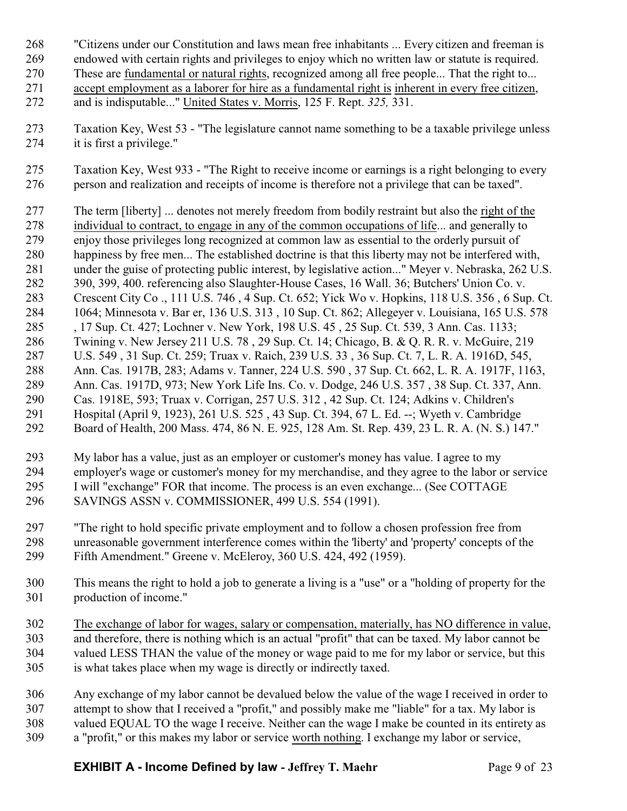- "Citizens under our Constitution and laws mean free inhabitants ... Every citizen and freeman is
- endowed with certain rights and privileges to enjoy which no written law or statute is required.
- These are fundamental or natural rights, recognized among all free people... That the right to...
- accept employment as a laborer for hire as a fundamental right is inherent in every free citizen, and is indisputable..." United States v. Morris, 125 F. Rept. *325,* 331.
- Taxation Key, West 53 "The legislature cannot name something to be a taxable privilege unless it is first a privilege."
- Taxation Key, West 933 "The Right to receive income or earnings is a right belonging to every person and realization and receipts of income is therefore not a privilege that can be taxed".
- The term [liberty] ... denotes not merely freedom from bodily restraint but also the right of the individual to contract, to engage in any of the common occupations of life... and generally to enjoy those privileges long recognized at common law as essential to the orderly pursuit of happiness by free men... The established doctrine is that this liberty may not be interfered with, under the guise of protecting public interest, by legislative action..." Meyer v. Nebraska, 262 U.S. 390, 399, 400. referencing also Slaughter-House Cases, 16 Wall. 36; Butchers' Union Co. v. Crescent City Co ., 111 U.S. 746 , 4 Sup. Ct. 652; Yick Wo v. Hopkins, 118 U.S. 356 , 6 Sup. Ct. 1064; Minnesota v. Bar er, 136 U.S. 313 , 10 Sup. Ct. 862; Allegeyer v. Louisiana, 165 U.S. 578 , 17 Sup. Ct. 427; Lochner v. New York, 198 U.S. 45 , 25 Sup. Ct. 539, 3 Ann. Cas. 1133; Twining v. New Jersey 211 U.S. 78 , 29 Sup. Ct. 14; Chicago, B. & Q. R. R. v. McGuire, 219 U.S. 549 , 31 Sup. Ct. 259; Truax v. Raich, 239 U.S. 33 , 36 Sup. Ct. 7, L. R. A. 1916D, 545, Ann. Cas. 1917B, 283; Adams v. Tanner, 224 U.S. 590 , 37 Sup. Ct. 662, L. R. A. 1917F, 1163, Ann. Cas. 1917D, 973; New York Life Ins. Co. v. Dodge, 246 U.S. 357 , 38 Sup. Ct. 337, Ann. Cas. 1918E, 593; Truax v. Corrigan, 257 U.S. 312 , 42 Sup. Ct. 124; Adkins v. Children's Hospital (April 9, 1923), 261 U.S. 525 , 43 Sup. Ct. 394, 67 L. Ed. --; Wyeth v. Cambridge Board of Health, 200 Mass. 474, 86 N. E. 925, 128 Am. St. Rep. 439, 23 L. R. A. (N. S.) 147."
- My labor has a value, just as an employer or customer's money has value. I agree to my employer's wage or customer's money for my merchandise, and they agree to the labor or service I will "exchange" FOR that income. The process is an even exchange... (See COTTAGE SAVINGS ASSN v. COMMISSIONER, 499 U.S. 554 (1991).
- "The right to hold specific private employment and to follow a chosen profession free from unreasonable government interference comes within the 'liberty' and 'property' concepts of the Fifth Amendment." Greene v. McEleroy, 360 U.S. 424, 492 (1959).
- This means the right to hold a job to generate a living is a "use" or a "holding of property for the production of income."
- The exchange of labor for wages, salary or compensation, materially, has NO difference in value, and therefore, there is nothing which is an actual "profit" that can be taxed. My labor cannot be valued LESS THAN the value of the money or wage paid to me for my labor or service, but this is what takes place when my wage is directly or indirectly taxed.
- Any exchange of my labor cannot be devalued below the value of the wage I received in order to attempt to show that I received a "profit," and possibly make me "liable" for a tax. My labor is valued EQUAL TO the wage I receive. Neither can the wage I make be counted in its entirety as a "profit," or this makes my labor or service worth nothing. I exchange my labor or service,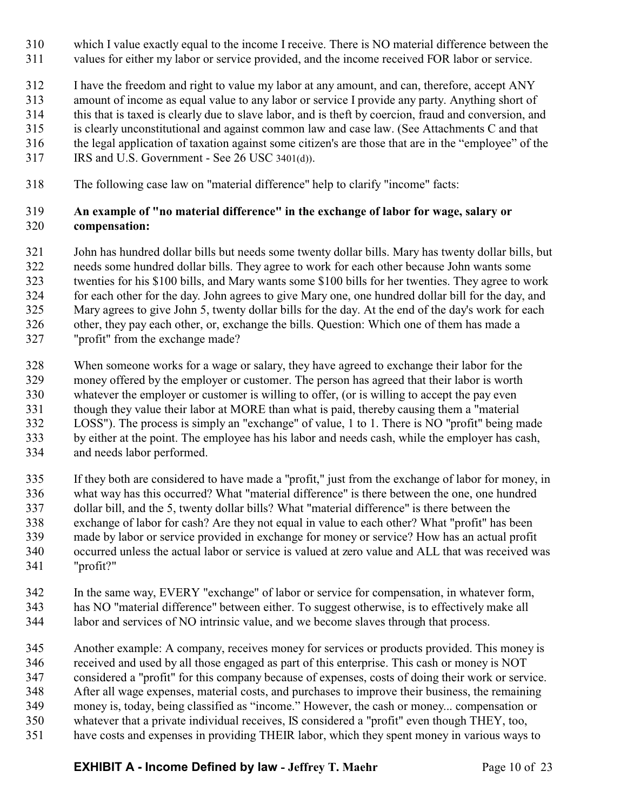- which I value exactly equal to the income I receive. There is NO material difference between the
- values for either my labor or service provided, and the income received FOR labor or service.
- I have the freedom and right to value my labor at any amount, and can, therefore, accept ANY
- amount of income as equal value to any labor or service I provide any party. Anything short of
- this that is taxed is clearly due to slave labor, and is theft by coercion, fraud and conversion, and
- is clearly unconstitutional and against common law and case law. (See Attachments C and that
- the legal application of taxation against some citizen's are those that are in the "employee" of the
- IRS and U.S. Government See 26 USC 3401(d)).
- The following case law on "material difference" help to clarify "income" facts:

# **An example of "no material difference" in the exchange of labor for wage, salary or compensation:**

- John has hundred dollar bills but needs some twenty dollar bills. Mary has twenty dollar bills, but needs some hundred dollar bills. They agree to work for each other because John wants some twenties for his \$100 bills, and Mary wants some \$100 bills for her twenties. They agree to work for each other for the day. John agrees to give Mary one, one hundred dollar bill for the day, and Mary agrees to give John 5, twenty dollar bills for the day. At the end of the day's work for each other, they pay each other, or, exchange the bills. Question: Which one of them has made a
- "profit" from the exchange made?
- When someone works for a wage or salary, they have agreed to exchange their labor for the money offered by the employer or customer. The person has agreed that their labor is worth whatever the employer or customer is willing to offer, (or is willing to accept the pay even though they value their labor at MORE than what is paid, thereby causing them a "material LOSS"). The process is simply an "exchange" of value, 1 to 1. There is NO "profit" being made by either at the point. The employee has his labor and needs cash, while the employer has cash, and needs labor performed.
- If they both are considered to have made a "profit," just from the exchange of labor for money, in what way has this occurred? What "material difference" is there between the one, one hundred dollar bill, and the 5, twenty dollar bills? What "material difference" is there between the exchange of labor for cash? Are they not equal in value to each other? What "profit" has been made by labor or service provided in exchange for money or service? How has an actual profit occurred unless the actual labor or service is valued at zero value and ALL that was received was "profit?"
- In the same way, EVERY "exchange" of labor or service for compensation, in whatever form, has NO "material difference" between either. To suggest otherwise, is to effectively make all labor and services of NO intrinsic value, and we become slaves through that process.
- Another example: A company, receives money for services or products provided. This money is received and used by all those engaged as part of this enterprise. This cash or money is NOT considered a "profit" for this company because of expenses, costs of doing their work or service. After all wage expenses, material costs, and purchases to improve their business, the remaining money is, today, being classified as "income." However, the cash or money... compensation or whatever that a private individual receives, IS considered a "profit" even though THEY, too,
- have costs and expenses in providing THEIR labor, which they spent money in various ways to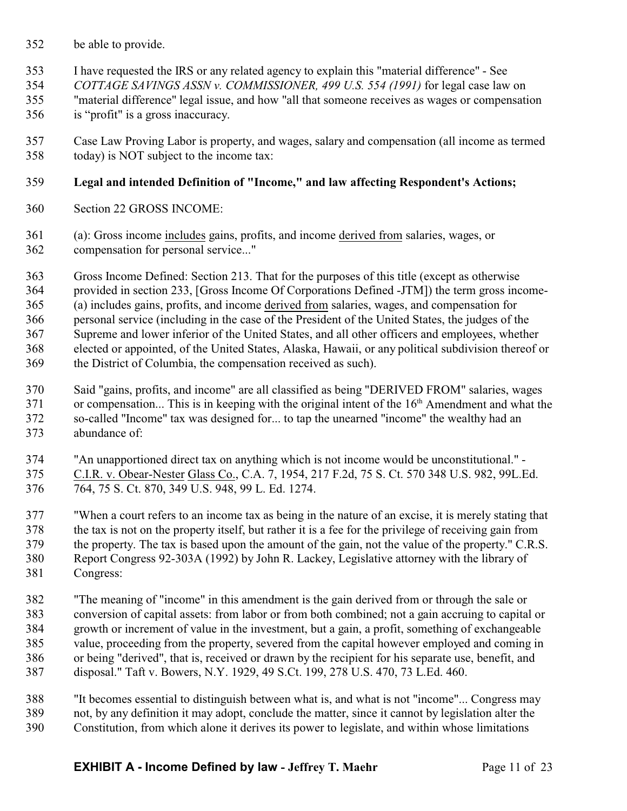- be able to provide.
- I have requested the IRS or any related agency to explain this "material difference" See
- *COTTAGE SAVINGS ASSN v. COMMISSIONER, 499 U.S. 554 (1991)* for legal case law on
- "material difference" legal issue, and how "all that someone receives as wages or compensation
- is "profit" is a gross inaccuracy.
- Case Law Proving Labor is property, and wages, salary and compensation (all income as termed today) is NOT subject to the income tax:

# **Legal and intended Definition of "Income," and law affecting Respondent's Actions;**

- Section 22 GROSS INCOME:
- (a): Gross income includes gains, profits, and income derived from salaries, wages, or compensation for personal service..."

 Gross Income Defined: Section 213. That for the purposes of this title (except as otherwise provided in section 233, [Gross Income Of Corporations Defined -JTM]) the term gross income- (a) includes gains, profits, and income derived from salaries, wages, and compensation for personal service (including in the case of the President of the United States, the judges of the Supreme and lower inferior of the United States, and all other officers and employees, whether elected or appointed, of the United States, Alaska, Hawaii, or any political subdivision thereof or the District of Columbia, the compensation received as such).

- Said "gains, profits, and income" are all classified as being "DERIVED FROM" salaries, wages 371 or compensation... This is in keeping with the original intent of the 16<sup>th</sup> Amendment and what the so-called "Income" tax was designed for... to tap the unearned "income" the wealthy had an abundance of:
- "An unapportioned direct tax on anything which is not income would be unconstitutional." C.I.R. v. Obear-Nester Glass Co., C.A. 7, 1954, 217 F.2d, 75 S. Ct. 570 348 U.S. 982, 99L.Ed. 764, 75 S. Ct. 870, 349 U.S. 948, 99 L. Ed. 1274.

 "When a court refers to an income tax as being in the nature of an excise, it is merely stating that the tax is not on the property itself, but rather it is a fee for the privilege of receiving gain from the property. The tax is based upon the amount of the gain, not the value of the property." C.R.S. Report Congress 92-303A (1992) by John R. Lackey, Legislative attorney with the library of Congress:

- "The meaning of "income" in this amendment is the gain derived from or through the sale or conversion of capital assets: from labor or from both combined; not a gain accruing to capital or growth or increment of value in the investment, but a gain, a profit, something of exchangeable value, proceeding from the property, severed from the capital however employed and coming in or being "derived", that is, received or drawn by the recipient for his separate use, benefit, and disposal." Taft v. Bowers, N.Y. 1929, 49 S.Ct. 199, 278 U.S. 470, 73 L.Ed. 460.
- "It becomes essential to distinguish between what is, and what is not "income"... Congress may not, by any definition it may adopt, conclude the matter, since it cannot by legislation alter the Constitution, from which alone it derives its power to legislate, and within whose limitations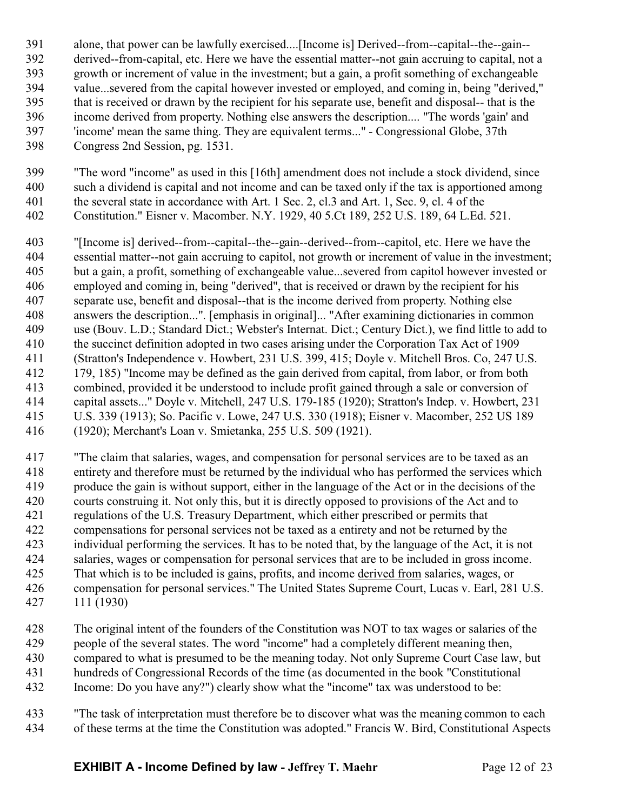- alone, that power can be lawfully exercised....[Income is] Derived--from--capital--the--gain-- derived--from-capital, etc. Here we have the essential matter--not gain accruing to capital, not a growth or increment of value in the investment; but a gain, a profit something of exchangeable value...severed from the capital however invested or employed, and coming in, being "derived," that is received or drawn by the recipient for his separate use, benefit and disposal-- that is the income derived from property. Nothing else answers the description.... "The words 'gain' and 'income' mean the same thing. They are equivalent terms..." - Congressional Globe, 37th Congress 2nd Session, pg. 1531.
- "The word "income" as used in this [16th] amendment does not include a stock dividend, since such a dividend is capital and not income and can be taxed only if the tax is apportioned among 401 the several state in accordance with Art. 1 Sec. 2, cl.3 and Art. 1, Sec. 9, cl. 4 of the Constitution." Eisner v. Macomber. N.Y. 1929, 40 5.Ct 189, 252 U.S. 189, 64 L.Ed. 521.
- "[Income is] derived--from--capital--the--gain--derived--from--capitol, etc. Here we have the essential matter--not gain accruing to capitol, not growth or increment of value in the investment; but a gain, a profit, something of exchangeable value...severed from capitol however invested or employed and coming in, being "derived", that is received or drawn by the recipient for his separate use, benefit and disposal--that is the income derived from property. Nothing else answers the description...". [emphasis in original]... "After examining dictionaries in common use (Bouv. L.D.; Standard Dict.; Webster's Internat. Dict.; Century Dict.), we find little to add to the succinct definition adopted in two cases arising under the Corporation Tax Act of 1909 (Stratton's Independence v. Howbert, 231 U.S. 399, 415; Doyle v. Mitchell Bros. Co, 247 U.S. 179, 185) "Income may be defined as the gain derived from capital, from labor, or from both combined, provided it be understood to include profit gained through a sale or conversion of capital assets..." Doyle v. Mitchell, 247 U.S. 179-185 (1920); Stratton's Indep. v. Howbert, 231 U.S. 339 (1913); So. Pacific v. Lowe, 247 U.S. 330 (1918); Eisner v. Macomber, 252 US 189 (1920); Merchant's Loan v. Smietanka, 255 U.S. 509 (1921).
- "The claim that salaries, wages, and compensation for personal services are to be taxed as an entirety and therefore must be returned by the individual who has performed the services which produce the gain is without support, either in the language of the Act or in the decisions of the courts construing it. Not only this, but it is directly opposed to provisions of the Act and to regulations of the U.S. Treasury Department, which either prescribed or permits that compensations for personal services not be taxed as a entirety and not be returned by the individual performing the services. It has to be noted that, by the language of the Act, it is not salaries, wages or compensation for personal services that are to be included in gross income. That which is to be included is gains, profits, and income derived from salaries, wages, or compensation for personal services." The United States Supreme Court, Lucas v. Earl, 281 U.S. 111 (1930)
- 428 The original intent of the founders of the Constitution was NOT to tax wages or salaries of the people of the several states. The word "income" had a completely different meaning then. people of the several states. The word "income" had a completely different meaning then, compared to what is presumed to be the meaning today. Not only Supreme Court Case law, but hundreds of Congressional Records of the time (as documented in the book "Constitutional Income: Do you have any?") clearly show what the "income" tax was understood to be:
- "The task of interpretation must therefore be to discover what was the meaning common to each of these terms at the time the Constitution was adopted." Francis W. Bird, Constitutional Aspects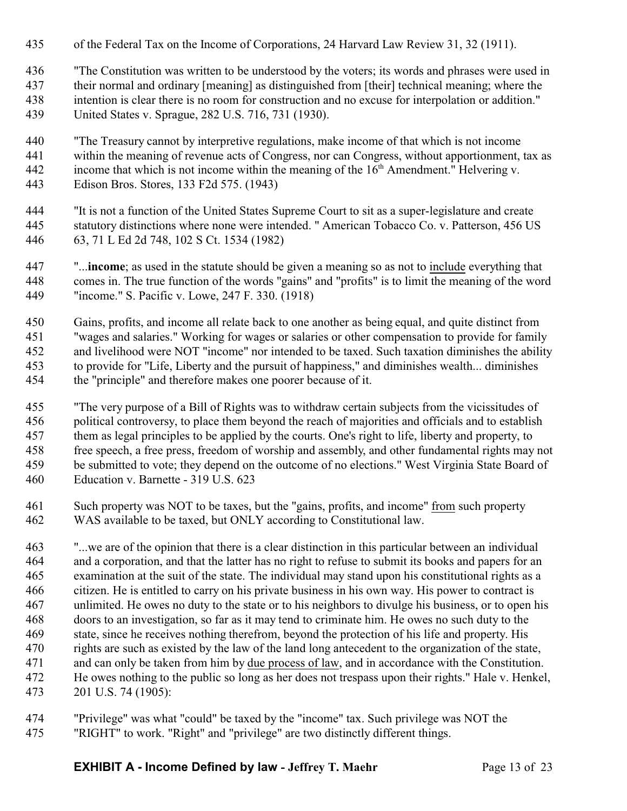- of the Federal Tax on the Income of Corporations, 24 Harvard Law Review 31, 32 (1911).
- "The Constitution was written to be understood by the voters; its words and phrases were used in
- their normal and ordinary [meaning] as distinguished from [their] technical meaning; where the intention is clear there is no room for construction and no excuse for interpolation or addition." United States v. Sprague, 282 U.S. 716, 731 (1930).
- "The Treasury cannot by interpretive regulations, make income of that which is not income within the meaning of revenue acts of Congress, nor can Congress, without apportionment, tax as 442 income that which is not income within the meaning of the  $16<sup>th</sup>$  Amendment." Helvering v. Edison Bros. Stores, 133 F2d 575. (1943)
- "It is not a function of the United States Supreme Court to sit as a super-legislature and create statutory distinctions where none were intended. " American Tobacco Co. v. Patterson, 456 US 63, 71 L Ed 2d 748, 102 S Ct. 1534 (1982)
- "...**income**; as used in the statute should be given a meaning so as not to include everything that comes in. The true function of the words "gains" and "profits" is to limit the meaning of the word "income." S. Pacific v. Lowe, 247 F. 330. (1918)
- Gains, profits, and income all relate back to one another as being equal, and quite distinct from "wages and salaries." Working for wages or salaries or other compensation to provide for family and livelihood were NOT "income" nor intended to be taxed. Such taxation diminishes the ability to provide for "Life, Liberty and the pursuit of happiness," and diminishes wealth... diminishes the "principle" and therefore makes one poorer because of it.
- "The very purpose of a Bill of Rights was to withdraw certain subjects from the vicissitudes of political controversy, to place them beyond the reach of majorities and officials and to establish them as legal principles to be applied by the courts. One's right to life, liberty and property, to free speech, a free press, freedom of worship and assembly, and other fundamental rights may not be submitted to vote; they depend on the outcome of no elections." West Virginia State Board of Education v. Barnette - 319 U.S. 623
- Such property was NOT to be taxes, but the "gains, profits, and income" from such property WAS available to be taxed, but ONLY according to Constitutional law.
- "...we are of the opinion that there is a clear distinction in this particular between an individual and a corporation, and that the latter has no right to refuse to submit its books and papers for an examination at the suit of the state. The individual may stand upon his constitutional rights as a citizen. He is entitled to carry on his private business in his own way. His power to contract is unlimited. He owes no duty to the state or to his neighbors to divulge his business, or to open his doors to an investigation, so far as it may tend to criminate him. He owes no such duty to the state, since he receives nothing therefrom, beyond the protection of his life and property. His rights are such as existed by the law of the land long antecedent to the organization of the state, and can only be taken from him by due process of law, and in accordance with the Constitution. He owes nothing to the public so long as her does not trespass upon their rights." Hale v. Henkel, 201 U.S. 74 (1905):
- "Privilege" was what "could" be taxed by the "income" tax. Such privilege was NOT the "RIGHT" to work. "Right" and "privilege" are two distinctly different things.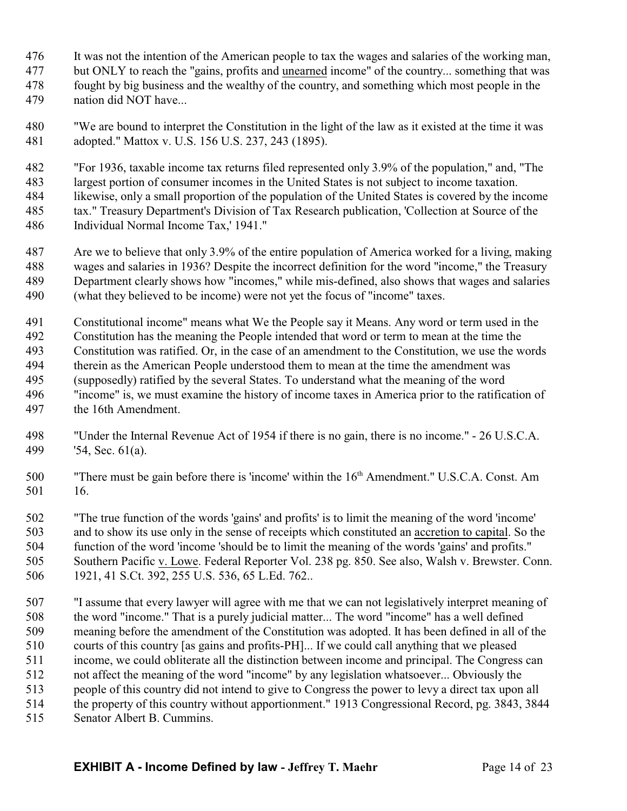- It was not the intention of the American people to tax the wages and salaries of the working man,
- but ONLY to reach the "gains, profits and unearned income" of the country... something that was
- fought by big business and the wealthy of the country, and something which most people in the
- nation did NOT have...
- "We are bound to interpret the Constitution in the light of the law as it existed at the time it was adopted." Mattox v. U.S. 156 U.S. 237, 243 (1895).
- "For 1936, taxable income tax returns filed represented only 3.9% of the population," and, "The largest portion of consumer incomes in the United States is not subject to income taxation. likewise, only a small proportion of the population of the United States is covered by the income tax." Treasury Department's Division of Tax Research publication, 'Collection at Source of the Individual Normal Income Tax,' 1941."
- Are we to believe that only 3.9% of the entire population of America worked for a living, making wages and salaries in 1936? Despite the incorrect definition for the word "income," the Treasury Department clearly shows how "incomes," while mis-defined, also shows that wages and salaries (what they believed to be income) were not yet the focus of "income" taxes.
- Constitutional income" means what We the People say it Means. Any word or term used in the Constitution has the meaning the People intended that word or term to mean at the time the Constitution was ratified. Or, in the case of an amendment to the Constitution, we use the words therein as the American People understood them to mean at the time the amendment was (supposedly) ratified by the several States. To understand what the meaning of the word "income" is, we must examine the history of income taxes in America prior to the ratification of the 16th Amendment.
- "Under the Internal Revenue Act of 1954 if there is no gain, there is no income." 26 U.S.C.A. '54, Sec. 61(a).
- "There must be gain before there is 'income' within the 16th Amendment." U.S.C.A. Const. Am 16.
- "The true function of the words 'gains' and profits' is to limit the meaning of the word 'income' and to show its use only in the sense of receipts which constituted an accretion to capital. So the function of the word 'income 'should be to limit the meaning of the words 'gains' and profits." Southern Pacific v. Lowe. Federal Reporter Vol. 238 pg. 850. See also, Walsh v. Brewster. Conn. 1921, 41 S.Ct. 392, 255 U.S. 536, 65 L.Ed. 762..
- "I assume that every lawyer will agree with me that we can not legislatively interpret meaning of the word "income." That is a purely judicial matter... The word "income" has a well defined meaning before the amendment of the Constitution was adopted. It has been defined in all of the courts of this country [as gains and profits-PH]... If we could call anything that we pleased income, we could obliterate all the distinction between income and principal. The Congress can not affect the meaning of the word "income" by any legislation whatsoever... Obviously the people of this country did not intend to give to Congress the power to levy a direct tax upon all the property of this country without apportionment." 1913 Congressional Record, pg. 3843, 3844
- Senator Albert B. Cummins.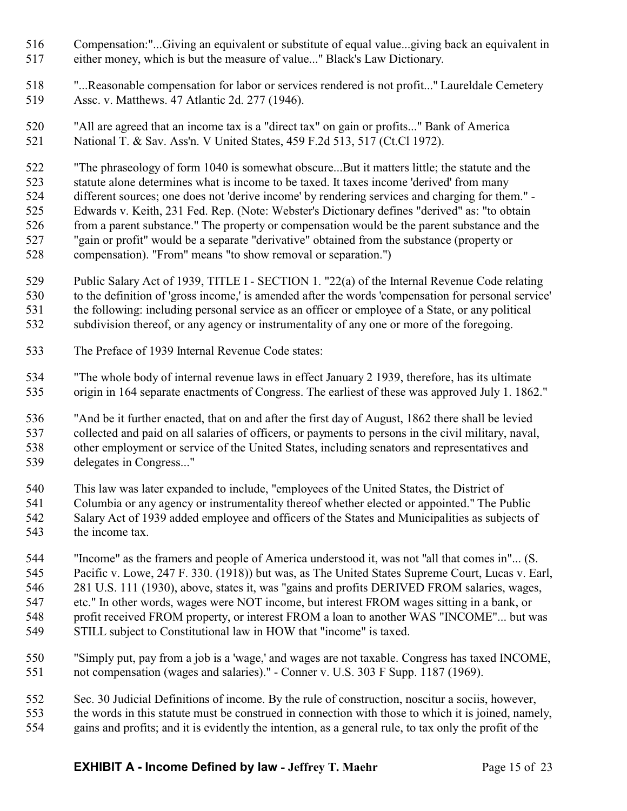- Compensation:"...Giving an equivalent or substitute of equal value...giving back an equivalent in either money, which is but the measure of value..." Black's Law Dictionary.
- "...Reasonable compensation for labor or services rendered is not profit..." Laureldale Cemetery Assc. v. Matthews. 47 Atlantic 2d. 277 (1946).
- "All are agreed that an income tax is a "direct tax" on gain or profits..." Bank of America National T. & Sav. Ass'n. V United States, 459 F.2d 513, 517 (Ct.Cl 1972).

 "The phraseology of form 1040 is somewhat obscure...But it matters little; the statute and the statute alone determines what is income to be taxed. It taxes income 'derived' from many different sources; one does not 'derive income' by rendering services and charging for them." - Edwards v. Keith, 231 Fed. Rep. (Note: Webster's Dictionary defines "derived" as: "to obtain from a parent substance." The property or compensation would be the parent substance and the "gain or profit" would be a separate "derivative" obtained from the substance (property or compensation). "From" means "to show removal or separation.")

- Public Salary Act of 1939, TITLE I SECTION 1. "22(a) of the Internal Revenue Code relating to the definition of 'gross income,' is amended after the words 'compensation for personal service' the following: including personal service as an officer or employee of a State, or any political subdivision thereof, or any agency or instrumentality of any one or more of the foregoing.
- The Preface of 1939 Internal Revenue Code states:
- "The whole body of internal revenue laws in effect January 2 1939, therefore, has its ultimate origin in 164 separate enactments of Congress. The earliest of these was approved July 1. 1862."

 "And be it further enacted, that on and after the first day of August, 1862 there shall be levied collected and paid on all salaries of officers, or payments to persons in the civil military, naval, other employment or service of the United States, including senators and representatives and delegates in Congress..."

This law was later expanded to include, "employees of the United States, the District of

- Columbia or any agency or instrumentality thereof whether elected or appointed." The Public Salary Act of 1939 added employee and officers of the States and Municipalities as subjects of the income tax.
- "Income" as the framers and people of America understood it, was not "all that comes in"... (S. Pacific v. Lowe, 247 F. 330. (1918)) but was, as The United States Supreme Court, Lucas v. Earl, 281 U.S. 111 (1930), above, states it, was "gains and profits DERIVED FROM salaries, wages, etc." In other words, wages were NOT income, but interest FROM wages sitting in a bank, or profit received FROM property, or interest FROM a loan to another WAS "INCOME"... but was STILL subject to Constitutional law in HOW that "income" is taxed.
- "Simply put, pay from a job is a 'wage,' and wages are not taxable. Congress has taxed INCOME, not compensation (wages and salaries)." - Conner v. U.S. 303 F Supp. 1187 (1969).
- Sec. 30 Judicial Definitions of income. By the rule of construction, noscitur a sociis, however, the words in this statute must be construed in connection with those to which it is joined, namely, gains and profits; and it is evidently the intention, as a general rule, to tax only the profit of the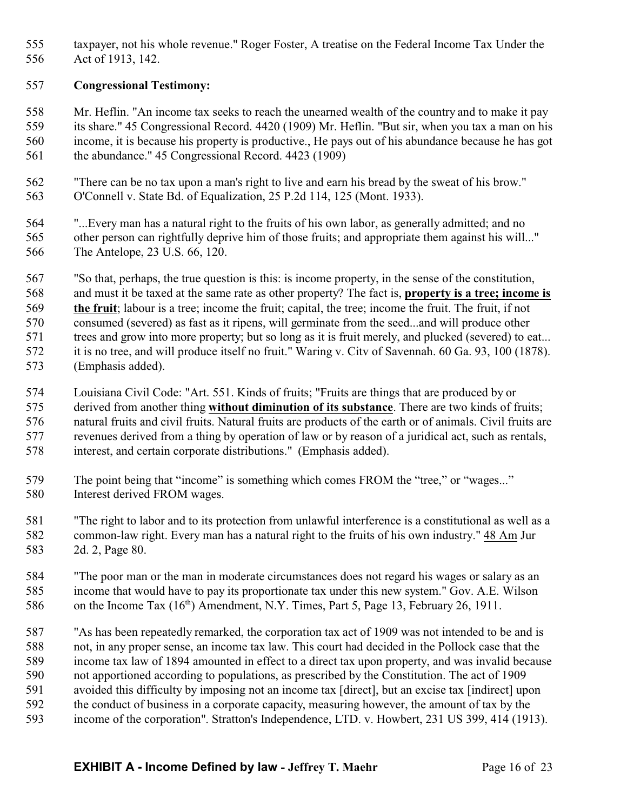taxpayer, not his whole revenue." Roger Foster, A treatise on the Federal Income Tax Under the Act of 1913, 142.

## **Congressional Testimony:**

 Mr. Heflin. "An income tax seeks to reach the unearned wealth of the country and to make it pay its share." 45 Congressional Record. 4420 (1909) Mr. Heflin. "But sir, when you tax a man on his income, it is because his property is productive., He pays out of his abundance because he has got the abundance." 45 Congressional Record. 4423 (1909)

 "There can be no tax upon a man's right to live and earn his bread by the sweat of his brow." O'Connell v. State Bd. of Equalization, 25 P.2d 114, 125 (Mont. 1933).

 "...Every man has a natural right to the fruits of his own labor, as generally admitted; and no other person can rightfully deprive him of those fruits; and appropriate them against his will..." The Antelope, 23 U.S. 66, 120.

 "So that, perhaps, the true question is this: is income property, in the sense of the constitution, and must it be taxed at the same rate as other property? The fact is, **property is a tree; income is the fruit**; labour is a tree; income the fruit; capital, the tree; income the fruit. The fruit, if not consumed (severed) as fast as it ripens, will germinate from the seed...and will produce other 571 trees and grow into more property; but so long as it is fruit merely, and plucked (severed) to eat... it is no tree, and will produce itself no fruit." Waring v. Citv of Savennah. 60 Ga. 93, 100 (1878). (Emphasis added).

 Louisiana Civil Code: "Art. 551. Kinds of fruits; "Fruits are things that are produced by or derived from another thing **without diminution of its substance**. There are two kinds of fruits; natural fruits and civil fruits. Natural fruits are products of the earth or of animals. Civil fruits are revenues derived from a thing by operation of law or by reason of a juridical act, such as rentals, interest, and certain corporate distributions." (Emphasis added).

- The point being that "income" is something which comes FROM the "tree," or "wages..." Interest derived FROM wages.
- "The right to labor and to its protection from unlawful interference is a constitutional as well as a common-law right. Every man has a natural right to the fruits of his own industry." 48 Am Jur 2d. 2, Page 80.

 "The poor man or the man in moderate circumstances does not regard his wages or salary as an income that would have to pay its proportionate tax under this new system." Gov. A.E. Wilson 586 on the Income Tax  $(16<sup>th</sup>)$  Amendment, N.Y. Times, Part 5, Page 13, February 26, 1911.

 "As has been repeatedly remarked, the corporation tax act of 1909 was not intended to be and is not, in any proper sense, an income tax law. This court had decided in the Pollock case that the income tax law of 1894 amounted in effect to a direct tax upon property, and was invalid because not apportioned according to populations, as prescribed by the Constitution. The act of 1909 avoided this difficulty by imposing not an income tax [direct], but an excise tax [indirect] upon the conduct of business in a corporate capacity, measuring however, the amount of tax by the

income of the corporation". Stratton's Independence, LTD. v. Howbert, 231 US 399, 414 (1913).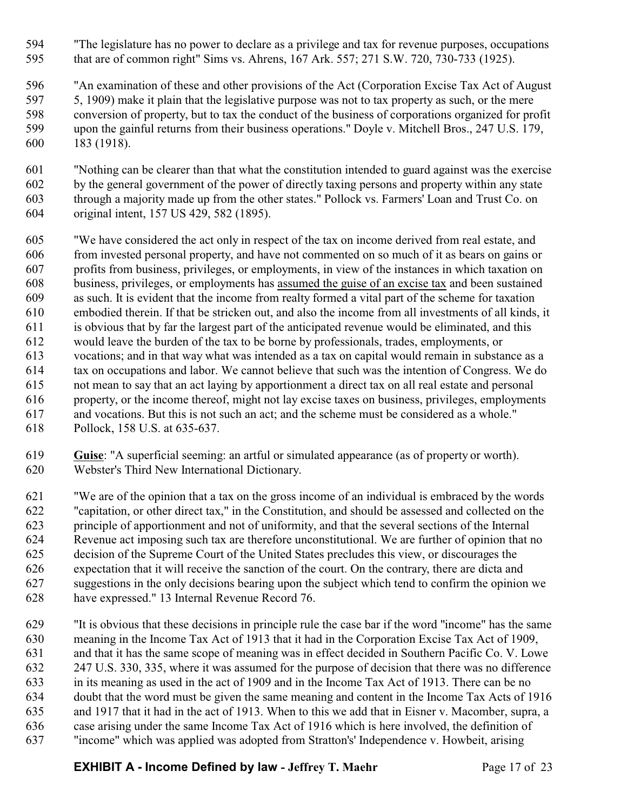- "The legislature has no power to declare as a privilege and tax for revenue purposes, occupations that are of common right" Sims vs. Ahrens, 167 Ark. 557; 271 S.W. 720, 730-733 (1925).
- "An examination of these and other provisions of the Act (Corporation Excise Tax Act of August 5, 1909) make it plain that the legislative purpose was not to tax property as such, or the mere conversion of property, but to tax the conduct of the business of corporations organized for profit upon the gainful returns from their business operations." Doyle v. Mitchell Bros., 247 U.S. 179, 183 (1918).
- "Nothing can be clearer than that what the constitution intended to guard against was the exercise by the general government of the power of directly taxing persons and property within any state through a majority made up from the other states." Pollock vs. Farmers' Loan and Trust Co. on original intent, 157 US 429, 582 (1895).
- "We have considered the act only in respect of the tax on income derived from real estate, and from invested personal property, and have not commented on so much of it as bears on gains or profits from business, privileges, or employments, in view of the instances in which taxation on business, privileges, or employments has assumed the guise of an excise tax and been sustained as such. It is evident that the income from realty formed a vital part of the scheme for taxation embodied therein. If that be stricken out, and also the income from all investments of all kinds, it is obvious that by far the largest part of the anticipated revenue would be eliminated, and this would leave the burden of the tax to be borne by professionals, trades, employments, or vocations; and in that way what was intended as a tax on capital would remain in substance as a tax on occupations and labor. We cannot believe that such was the intention of Congress. We do not mean to say that an act laying by apportionment a direct tax on all real estate and personal property, or the income thereof, might not lay excise taxes on business, privileges, employments and vocations. But this is not such an act; and the scheme must be considered as a whole." Pollock, 158 U.S. at 635-637.
- **Guise**: "A superficial seeming: an artful or simulated appearance (as of property or worth). Webster's Third New International Dictionary.
- "We are of the opinion that a tax on the gross income of an individual is embraced by the words "capitation, or other direct tax," in the Constitution, and should be assessed and collected on the principle of apportionment and not of uniformity, and that the several sections of the Internal Revenue act imposing such tax are therefore unconstitutional. We are further of opinion that no decision of the Supreme Court of the United States precludes this view, or discourages the expectation that it will receive the sanction of the court. On the contrary, there are dicta and suggestions in the only decisions bearing upon the subject which tend to confirm the opinion we have expressed." 13 Internal Revenue Record 76.
- "It is obvious that these decisions in principle rule the case bar if the word "income" has the same meaning in the Income Tax Act of 1913 that it had in the Corporation Excise Tax Act of 1909, and that it has the same scope of meaning was in effect decided in Southern Pacific Co. V. Lowe 247 U.S. 330, 335, where it was assumed for the purpose of decision that there was no difference in its meaning as used in the act of 1909 and in the Income Tax Act of 1913. There can be no doubt that the word must be given the same meaning and content in the Income Tax Acts of 1916 and 1917 that it had in the act of 1913. When to this we add that in Eisner v. Macomber, supra, a case arising under the same Income Tax Act of 1916 which is here involved, the definition of "income" which was applied was adopted from Stratton's' Independence v. Howbeit, arising
	- **EXHIBIT A Income Defined by law Jeffrey T. Maehr** Page 17 of 23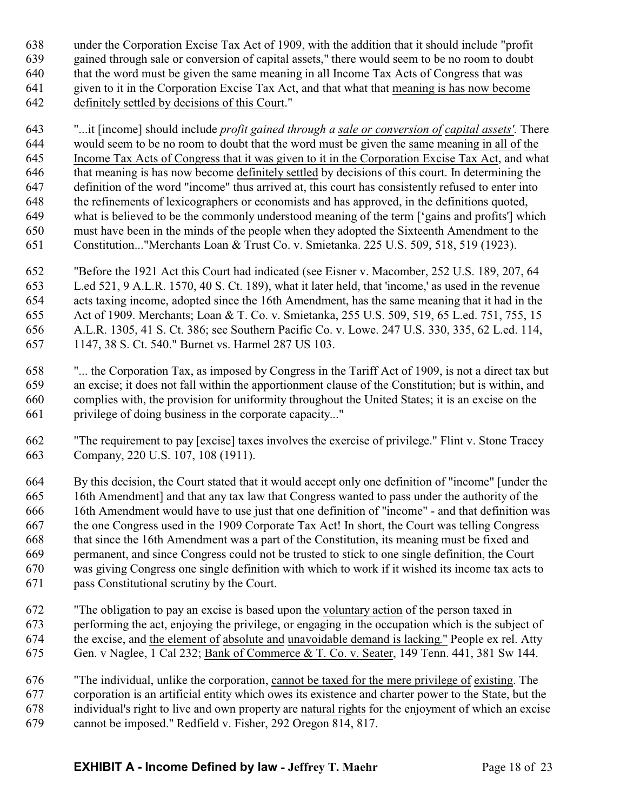under the Corporation Excise Tax Act of 1909, with the addition that it should include "profit gained through sale or conversion of capital assets," there would seem to be no room to doubt that the word must be given the same meaning in all Income Tax Acts of Congress that was given to it in the Corporation Excise Tax Act, and that what that meaning is has now become definitely settled by decisions of this Court."

 "...it [income] should include *profit gained through a sale or conversion of capital assets'.* There would seem to be no room to doubt that the word must be given the same meaning in all of the Income Tax Acts of Congress that it was given to it in the Corporation Excise Tax Act, and what that meaning is has now become definitely settled by decisions of this court. In determining the definition of the word "income" thus arrived at, this court has consistently refused to enter into the refinements of lexicographers or economists and has approved, in the definitions quoted, what is believed to be the commonly understood meaning of the term ['gains and profits'] which must have been in the minds of the people when they adopted the Sixteenth Amendment to the Constitution..."Merchants Loan & Trust Co. v. Smietanka. 225 U.S. 509, 518, 519 (1923).

 "Before the 1921 Act this Court had indicated (see Eisner v. Macomber, 252 U.S. 189, 207, 64 L.ed 521, 9 A.L.R. 1570, 40 S. Ct. 189), what it later held, that 'income,' as used in the revenue acts taxing income, adopted since the 16th Amendment, has the same meaning that it had in the Act of 1909. Merchants; Loan & T. Co. v. Smietanka, 255 U.S. 509, 519, 65 L.ed. 751, 755, 15 A.L.R. 1305, 41 S. Ct. 386; see Southern Pacific Co. v. Lowe. 247 U.S. 330, 335, 62 L.ed. 114, 1147, 38 S. Ct. 540." Burnet vs. Harmel 287 US 103.

- "... the Corporation Tax, as imposed by Congress in the Tariff Act of 1909, is not a direct tax but an excise; it does not fall within the apportionment clause of the Constitution; but is within, and complies with, the provision for uniformity throughout the United States; it is an excise on the privilege of doing business in the corporate capacity..."
- "The requirement to pay [excise] taxes involves the exercise of privilege." Flint v. Stone Tracey Company, 220 U.S. 107, 108 (1911).

 By this decision, the Court stated that it would accept only one definition of "income" [under the 16th Amendment] and that any tax law that Congress wanted to pass under the authority of the 16th Amendment would have to use just that one definition of "income" - and that definition was the one Congress used in the 1909 Corporate Tax Act! In short, the Court was telling Congress that since the 16th Amendment was a part of the Constitution, its meaning must be fixed and permanent, and since Congress could not be trusted to stick to one single definition, the Court was giving Congress one single definition with which to work if it wished its income tax acts to pass Constitutional scrutiny by the Court.

- "The obligation to pay an excise is based upon the voluntary action of the person taxed in performing the act, enjoying the privilege, or engaging in the occupation which is the subject of the excise, and the element of absolute and unavoidable demand is lacking." People ex rel. Atty Gen. v Naglee, 1 Cal 232; Bank of Commerce & T. Co. v. Seater, 149 Tenn. 441, 381 Sw 144.
- "The individual, unlike the corporation, cannot be taxed for the mere privilege of existing. The corporation is an artificial entity which owes its existence and charter power to the State, but the individual's right to live and own property are natural rights for the enjoyment of which an excise cannot be imposed." Redfield v. Fisher, 292 Oregon 814, 817.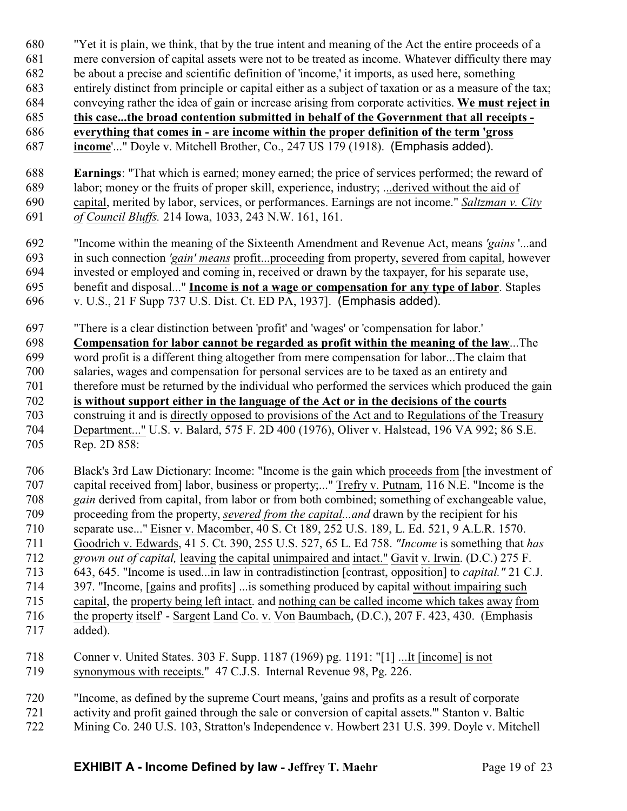- "Yet it is plain, we think, that by the true intent and meaning of the Act the entire proceeds of a
- mere conversion of capital assets were not to be treated as income. Whatever difficulty there may
- be about a precise and scientific definition of 'income,' it imports, as used here, something
- entirely distinct from principle or capital either as a subject of taxation or as a measure of the tax;
- conveying rather the idea of gain or increase arising from corporate activities. **We must reject in**

 **this case...the broad contention submitted in behalf of the Government that all receipts - everything that comes in - are income within the proper definition of the term 'gross**

- **income**'..." Doyle v. Mitchell Brother, Co., 247 US 179 (1918). (Emphasis added).
- **Earnings**: "That which is earned; money earned; the price of services performed; the reward of labor; money or the fruits of proper skill, experience, industry; ...derived without the aid of capital, merited by labor, services, or performances. Earnings are not income." *Saltzman v. City of Council Bluffs.* 214 Iowa, 1033, 243 N.W. 161, 161.
- "Income within the meaning of the Sixteenth Amendment and Revenue Act, means *'gains* '...and in such connection *'gain' means* profit...proceeding from property, severed from capital, however invested or employed and coming in, received or drawn by the taxpayer, for his separate use, benefit and disposal..." **Income is not a wage or compensation for any type of labor**. Staples v. U.S., 21 F Supp 737 U.S. Dist. Ct. ED PA, 1937]. (Emphasis added).
- "There is a clear distinction between 'profit' and 'wages' or 'compensation for labor.'
- **Compensation for labor cannot be regarded as profit within the meaning of the law**...The word profit is a different thing altogether from mere compensation for labor...The claim that salaries, wages and compensation for personal services are to be taxed as an entirety and therefore must be returned by the individual who performed the services which produced the gain **is without support either in the language of the Act or in the decisions of the courts** construing it and is directly opposed to provisions of the Act and to Regulations of the Treasury Department..." U.S. v. Balard, 575 F. 2D 400 (1976), Oliver v. Halstead, 196 VA 992; 86 S.E. Rep. 2D 858:
- Black's 3rd Law Dictionary: Income: "Income is the gain which proceeds from [the investment of capital received from] labor, business or property;..." Trefry v. Putnam, 116 N.E. "Income is the *gain* derived from capital, from labor or from both combined; something of exchangeable value, proceeding from the property, *severed from the capital...and* drawn by the recipient for his separate use..." Eisner v. Macomber, 40 S. Ct 189, 252 U.S. 189, L. Ed. 521, 9 A.L.R. 1570. Goodrich v. Edwards, 41 5. Ct. 390, 255 U.S. 527, 65 L. Ed 758. *"Income* is something that *has grown out of capital,* leaving the capital unimpaired and intact." Gavit v. Irwin. (D.C.) 275 F. 643, 645. "Income is used...in law in contradistinction [contrast, opposition] to *capital."* 21 C.J. 397. "Income, [gains and profits] ...is something produced by capital without impairing such capital, the property being left intact. and nothing can be called income which takes away from the property itself' - Sargent Land Co. v. Von Baumbach, (D.C.), 207 F. 423, 430. (Emphasis added).
- Conner v. United States. 303 F. Supp. 1187 (1969) pg. 1191: "[1] ...It [income] is not synonymous with receipts." 47 C.J.S. Internal Revenue 98, Pg. 226.
- "Income, as defined by the supreme Court means, 'gains and profits as a result of corporate activity and profit gained through the sale or conversion of capital assets.'" Stanton v. Baltic Mining Co. 240 U.S. 103, Stratton's Independence v. Howbert 231 U.S. 399. Doyle v. Mitchell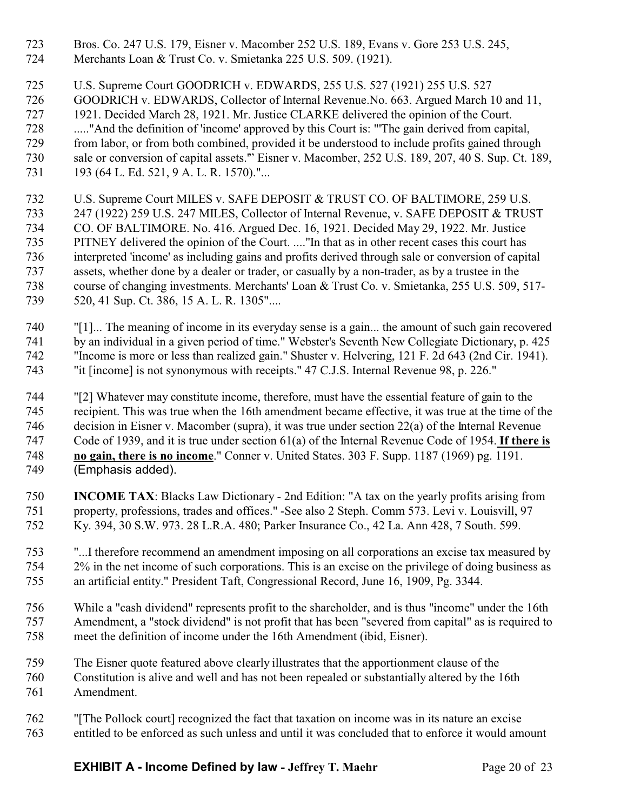- Bros. Co. 247 U.S. 179, Eisner v. Macomber 252 U.S. 189, Evans v. Gore 253 U.S. 245,
- Merchants Loan & Trust Co. v. Smietanka 225 U.S. 509. (1921).

U.S. Supreme Court GOODRICH v. EDWARDS, 255 U.S. 527 (1921) 255 U.S. 527

- GOODRICH v. EDWARDS, Collector of Internal Revenue.No. 663. Argued March 10 and 11,
- 1921. Decided March 28, 1921. Mr. Justice CLARKE delivered the opinion of the Court.
- ....."And the definition of 'income' approved by this Court is: "'The gain derived from capital, from labor, or from both combined, provided it be understood to include profits gained through sale or conversion of capital assets.'" Eisner v. Macomber, 252 U.S. 189, 207, 40 S. Sup. Ct. 189,
- 731 193 (64 L. Ed. 521, 9 A. L. R. 1570)."...
- U.S. Supreme Court MILES v. SAFE DEPOSIT & TRUST CO. OF BALTIMORE, 259 U.S. 247 (1922) 259 U.S. 247 MILES, Collector of Internal Revenue, v. SAFE DEPOSIT & TRUST CO. OF BALTIMORE. No. 416. Argued Dec. 16, 1921. Decided May 29, 1922. Mr. Justice PITNEY delivered the opinion of the Court. ...."In that as in other recent cases this court has interpreted 'income' as including gains and profits derived through sale or conversion of capital assets, whether done by a dealer or trader, or casually by a non-trader, as by a trustee in the course of changing investments. Merchants' Loan & Trust Co. v. Smietanka, 255 U.S. 509, 517- 520, 41 Sup. Ct. 386, 15 A. L. R. 1305"....
- "[1]... The meaning of income in its everyday sense is a gain... the amount of such gain recovered 741 by an individual in a given period of time." Webster's Seventh New Collegiate Dictionary, p. 425 "Income is more or less than realized gain." Shuster v. Helvering, 121 F. 2d 643 (2nd Cir. 1941). "it [income] is not synonymous with receipts." 47 C.J.S. Internal Revenue 98, p. 226."
- "[2] Whatever may constitute income, therefore, must have the essential feature of gain to the recipient. This was true when the 16th amendment became effective, it was true at the time of the decision in Eisner v. Macomber (supra), it was true under section 22(a) of the Internal Revenue Code of 1939, and it is true under section 61(a) of the Internal Revenue Code of 1954. **If there is no gain, there is no income**." Conner v. United States. 303 F. Supp. 1187 (1969) pg. 1191. (Emphasis added).
- **INCOME TAX**: Blacks Law Dictionary 2nd Edition: "A tax on the yearly profits arising from property, professions, trades and offices." -See also 2 Steph. Comm 573. Levi v. Louisvill, 97 Ky. 394, 30 S.W. 973. 28 L.R.A. 480; Parker Insurance Co., 42 La. Ann 428, 7 South. 599.
- "...I therefore recommend an amendment imposing on all corporations an excise tax measured by 2% in the net income of such corporations. This is an excise on the privilege of doing business as an artificial entity." President Taft, Congressional Record, June 16, 1909, Pg. 3344.
- While a "cash dividend" represents profit to the shareholder, and is thus "income" under the 16th Amendment, a "stock dividend" is not profit that has been "severed from capital" as is required to meet the definition of income under the 16th Amendment (ibid, Eisner).
- The Eisner quote featured above clearly illustrates that the apportionment clause of the Constitution is alive and well and has not been repealed or substantially altered by the 16th Amendment.
- "[The Pollock court] recognized the fact that taxation on income was in its nature an excise entitled to be enforced as such unless and until it was concluded that to enforce it would amount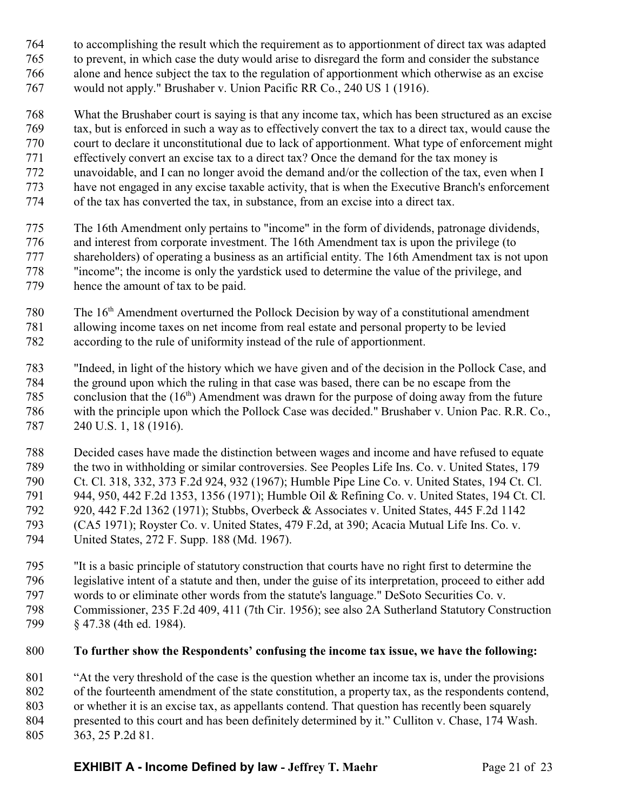- to accomplishing the result which the requirement as to apportionment of direct tax was adapted to prevent, in which case the duty would arise to disregard the form and consider the substance alone and hence subject the tax to the regulation of apportionment which otherwise as an excise would not apply." Brushaber v. Union Pacific RR Co., 240 US 1 (1916).
- What the Brushaber court is saying is that any income tax, which has been structured as an excise tax, but is enforced in such a way as to effectively convert the tax to a direct tax, would cause the court to declare it unconstitutional due to lack of apportionment. What type of enforcement might effectively convert an excise tax to a direct tax? Once the demand for the tax money is unavoidable, and I can no longer avoid the demand and/or the collection of the tax, even when I have not engaged in any excise taxable activity, that is when the Executive Branch's enforcement of the tax has converted the tax, in substance, from an excise into a direct tax.
- The 16th Amendment only pertains to "income" in the form of dividends, patronage dividends, and interest from corporate investment. The 16th Amendment tax is upon the privilege (to shareholders) of operating a business as an artificial entity. The 16th Amendment tax is not upon "income"; the income is only the yardstick used to determine the value of the privilege, and hence the amount of tax to be paid.
- 780 The 16<sup>th</sup> Amendment overturned the Pollock Decision by way of a constitutional amendment allowing income taxes on net income from real estate and personal property to be levied according to the rule of uniformity instead of the rule of apportionment.
- "Indeed, in light of the history which we have given and of the decision in the Pollock Case, and the ground upon which the ruling in that case was based, there can be no escape from the 785 conclusion that the  $(16<sup>th</sup>)$  Amendment was drawn for the purpose of doing away from the future with the principle upon which the Pollock Case was decided." Brushaber v. Union Pac. R.R. Co., 240 U.S. 1, 18 (1916).
- Decided cases have made the distinction between wages and income and have refused to equate the two in withholding or similar controversies. See Peoples Life Ins. Co. v. United States, 179 Ct. Cl. 318, 332, 373 F.2d 924, 932 (1967); Humble Pipe Line Co. v. United States, 194 Ct. Cl. 944, 950, 442 F.2d 1353, 1356 (1971); Humble Oil & Refining Co. v. United States, 194 Ct. Cl. 920, 442 F.2d 1362 (1971); Stubbs, Overbeck & Associates v. United States, 445 F.2d 1142 (CA5 1971); Royster Co. v. United States, 479 F.2d, at 390; Acacia Mutual Life Ins. Co. v. United States, 272 F. Supp. 188 (Md. 1967).
- "It is a basic principle of statutory construction that courts have no right first to determine the legislative intent of a statute and then, under the guise of its interpretation, proceed to either add words to or eliminate other words from the statute's language." DeSoto Securities Co. v. Commissioner, 235 F.2d 409, 411 (7th Cir. 1956); see also 2A Sutherland Statutory Construction § 47.38 (4th ed. 1984).

# **To further show the Respondents' confusing the income tax issue, we have the following:**

 "At the very threshold of the case is the question whether an income tax is, under the provisions of the fourteenth amendment of the state constitution, a property tax, as the respondents contend, or whether it is an excise tax, as appellants contend. That question has recently been squarely presented to this court and has been definitely determined by it." Culliton v. Chase, 174 Wash. 363, 25 P.2d 81.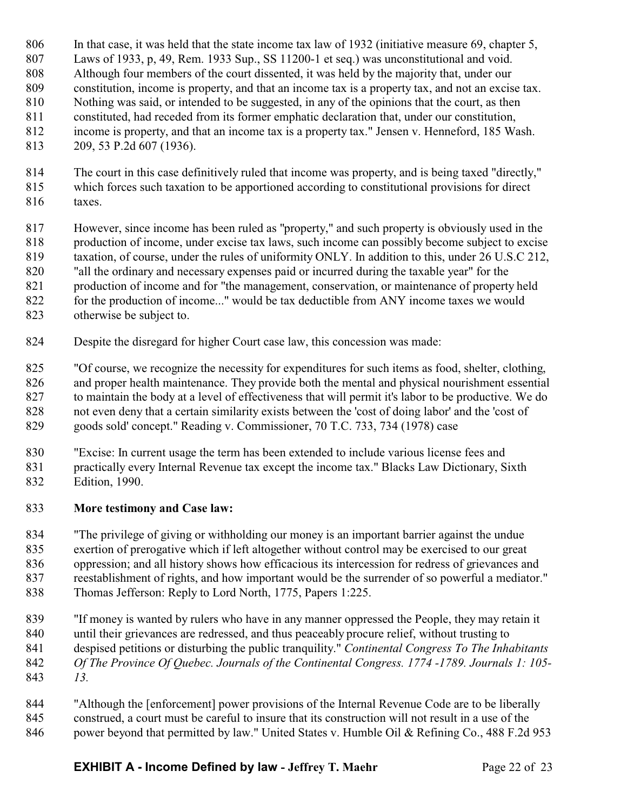- In that case, it was held that the state income tax law of 1932 (initiative measure 69, chapter 5, Laws of 1933, p, 49, Rem. 1933 Sup., SS 11200-1 et seq.) was unconstitutional and void. Although four members of the court dissented, it was held by the majority that, under our constitution, income is property, and that an income tax is a property tax, and not an excise tax. Nothing was said, or intended to be suggested, in any of the opinions that the court, as then constituted, had receded from its former emphatic declaration that, under our constitution, income is property, and that an income tax is a property tax." Jensen v. Henneford, 185 Wash. 209, 53 P.2d 607 (1936).
- The court in this case definitively ruled that income was property, and is being taxed "directly," which forces such taxation to be apportioned according to constitutional provisions for direct taxes.
- However, since income has been ruled as "property," and such property is obviously used in the production of income, under excise tax laws, such income can possibly become subject to excise taxation, of course, under the rules of uniformity ONLY. In addition to this, under 26 U.S.C 212, "all the ordinary and necessary expenses paid or incurred during the taxable year" for the production of income and for "the management, conservation, or maintenance of property held for the production of income..." would be tax deductible from ANY income taxes we would otherwise be subject to.
- Despite the disregard for higher Court case law, this concession was made:

 "Of course, we recognize the necessity for expenditures for such items as food, shelter, clothing, and proper health maintenance. They provide both the mental and physical nourishment essential to maintain the body at a level of effectiveness that will permit it's labor to be productive. We do not even deny that a certain similarity exists between the 'cost of doing labor' and the 'cost of goods sold' concept." Reading v. Commissioner, 70 T.C. 733, 734 (1978) case

- "Excise: In current usage the term has been extended to include various license fees and practically every Internal Revenue tax except the income tax." Blacks Law Dictionary, Sixth
- Edition, 1990.

### **More testimony and Case law:**

 "The privilege of giving or withholding our money is an important barrier against the undue exertion of prerogative which if left altogether without control may be exercised to our great oppression; and all history shows how efficacious its intercession for redress of grievances and reestablishment of rights, and how important would be the surrender of so powerful a mediator." Thomas Jefferson: Reply to Lord North, 1775, Papers 1:225.

- "If money is wanted by rulers who have in any manner oppressed the People, they may retain it until their grievances are redressed, and thus peaceably procure relief, without trusting to despised petitions or disturbing the public tranquility." *Continental Congress To The Inhabitants Of The Province Of Quebec. Journals of the Continental Congress. 1774 -1789. Journals 1: 105- 13.*
- "Although the [enforcement] power provisions of the Internal Revenue Code are to be liberally construed, a court must be careful to insure that its construction will not result in a use of the 846 power beyond that permitted by law." United States v. Humble Oil & Refining Co., 488 F.2d 953